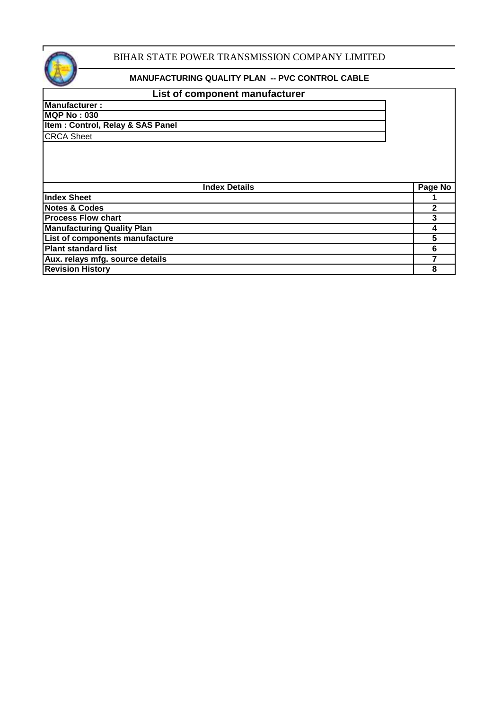

### **MANUFACTURING QUALITY PLAN -- PVC CONTROL CABLE**

### **List of component manufacturer**

### **Manufacturer : MQP No : 030**

**Item : Control, Relay & SAS Panel**

CRCA Sheet

| <b>Index Details</b>                  | Page No |
|---------------------------------------|---------|
| <b>Index Sheet</b>                    |         |
| <b>Notes &amp; Codes</b>              |         |
| <b>Process Flow chart</b>             |         |
| <b>Manufacturing Quality Plan</b>     |         |
| <b>List of components manufacture</b> |         |
| <b>Plant standard list</b>            |         |
| Aux. relays mfg. source details       |         |
| <b>Revision History</b>               |         |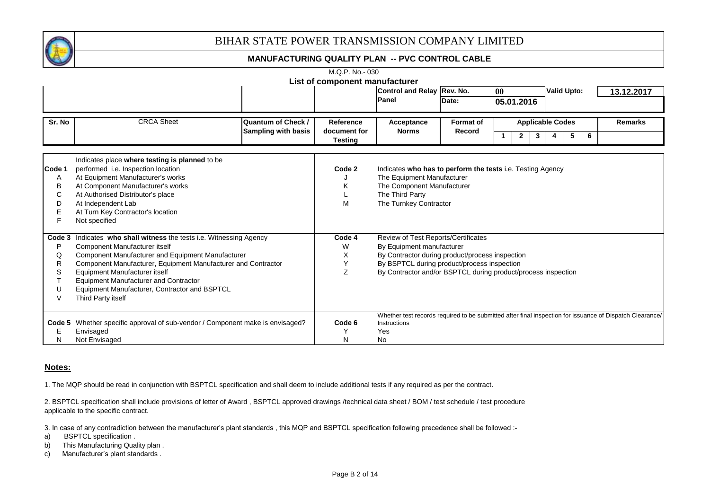

#### **MANUFACTURING QUALITY PLAN -- PVC CONTROL CABLE**

|                                      |                                                                                                                                                                                                                                                                                                                                                                                                     | M.Q.P. No.-030                 |                                                                                                                                                                                                                                     |                  |                         |  |                |   |                         |   |   |                                                                                                          |                    |  |            |
|--------------------------------------|-----------------------------------------------------------------------------------------------------------------------------------------------------------------------------------------------------------------------------------------------------------------------------------------------------------------------------------------------------------------------------------------------------|--------------------------------|-------------------------------------------------------------------------------------------------------------------------------------------------------------------------------------------------------------------------------------|------------------|-------------------------|--|----------------|---|-------------------------|---|---|----------------------------------------------------------------------------------------------------------|--------------------|--|------------|
|                                      |                                                                                                                                                                                                                                                                                                                                                                                                     | List of component manufacturer |                                                                                                                                                                                                                                     |                  |                         |  |                |   |                         |   |   |                                                                                                          |                    |  |            |
|                                      |                                                                                                                                                                                                                                                                                                                                                                                                     |                                | Control and Relay Rev. No.                                                                                                                                                                                                          |                  | 00 <sup>1</sup>         |  |                |   |                         |   |   |                                                                                                          | <b>Valid Upto:</b> |  | 13.12.2017 |
|                                      |                                                                                                                                                                                                                                                                                                                                                                                                     |                                | <b>Panel</b>                                                                                                                                                                                                                        | <b>IDate:</b>    |                         |  | 05.01.2016     |   |                         |   |   |                                                                                                          |                    |  |            |
| Sr. No                               | <b>CRCA Sheet</b><br><b>Quantum of Check /</b>                                                                                                                                                                                                                                                                                                                                                      | Reference                      |                                                                                                                                                                                                                                     | <b>Format of</b> |                         |  |                |   | <b>Applicable Codes</b> |   |   | <b>Remarks</b>                                                                                           |                    |  |            |
|                                      | <b>Sampling with basis</b>                                                                                                                                                                                                                                                                                                                                                                          | document for                   | Acceptance<br><b>Norms</b>                                                                                                                                                                                                          | Record           |                         |  |                |   |                         |   |   |                                                                                                          |                    |  |            |
|                                      |                                                                                                                                                                                                                                                                                                                                                                                                     | <b>Testing</b>                 |                                                                                                                                                                                                                                     |                  | $\overline{\mathbf{1}}$ |  | $\overline{2}$ | 3 |                         | 5 | 6 |                                                                                                          |                    |  |            |
|                                      |                                                                                                                                                                                                                                                                                                                                                                                                     |                                |                                                                                                                                                                                                                                     |                  |                         |  |                |   |                         |   |   |                                                                                                          |                    |  |            |
| Code 1<br>A<br>B<br>C<br>D<br>Е<br>F | Indicates place where testing is planned to be<br>performed i.e. Inspection location<br>At Equipment Manufacturer's works<br>At Component Manufacturer's works<br>At Authorised Distributor's place<br>At Independent Lab<br>At Turn Key Contractor's location                                                                                                                                      | Code 2<br>Κ<br>M               | Indicates who has to perform the tests i.e. Testing Agency<br>The Equipment Manufacturer<br>The Component Manufacturer<br>The Third Party<br>The Turnkey Contractor                                                                 |                  |                         |  |                |   |                         |   |   |                                                                                                          |                    |  |            |
| P<br>Q<br>R<br>S<br>U<br>$\vee$      | Not specified<br>Code 3 Indicates who shall witness the tests i.e. Witnessing Agency<br>Component Manufacturer itself<br>Component Manufacturer and Equipment Manufacturer<br>Component Manufacturer, Equipment Manufacturer and Contractor<br>Equipment Manufacturer itself<br><b>Equipment Manufacturer and Contractor</b><br>Equipment Manufacturer, Contractor and BSPTCL<br>Third Party itself | Code 4<br>W<br>х<br>Υ<br>Z     | Review of Test Reports/Certificates<br>By Equipment manufacturer<br>By Contractor during product/process inspection<br>By BSPTCL during product/process inspection<br>By Contractor and/or BSPTCL during product/process inspection |                  |                         |  |                |   |                         |   |   |                                                                                                          |                    |  |            |
| Е<br>N                               | Code 5 Whether specific approval of sub-vendor / Component make is envisaged?<br>Envisaged<br>Not Envisaged                                                                                                                                                                                                                                                                                         | Code 6<br>N                    | Instructions<br>Yes<br><b>No</b>                                                                                                                                                                                                    |                  |                         |  |                |   |                         |   |   | Whether test records required to be submitted after final inspection for issuance of Dispatch Clearance/ |                    |  |            |

### **Notes:**

1. The MQP should be read in conjunction with BSPTCL specification and shall deem to include additional tests if any required as per the contract.

2. BSPTCL specification shall include provisions of letter of Award , BSPTCL approved drawings /technical data sheet / BOM / test schedule / test procedure applicable to the specific contract.

3. In case of any contradiction between the manufacturer's plant standards , this MQP and BSPTCL specification following precedence shall be followed :-

a) BSPTCL specification .

b) This Manufacturing Quality plan .

c) Manufacturer's plant standards .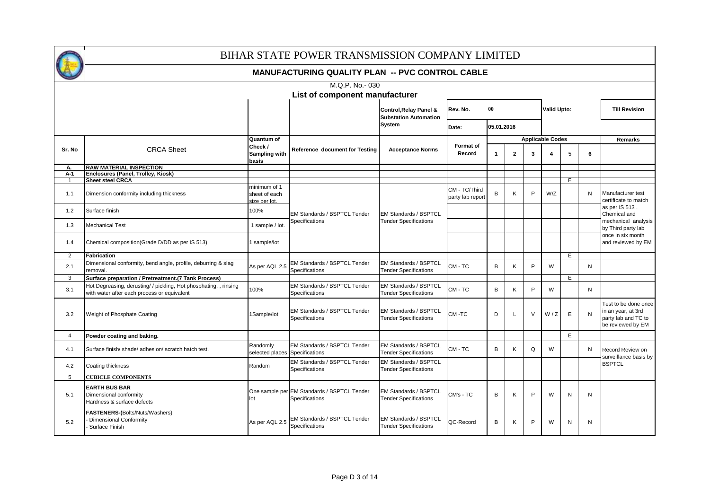

| M.O.P. No. 030        |                                                                                                                  |                                                |                                                               |                                                                   |                                   |             |                |        |                         |    |              |                                                                                        |
|-----------------------|------------------------------------------------------------------------------------------------------------------|------------------------------------------------|---------------------------------------------------------------|-------------------------------------------------------------------|-----------------------------------|-------------|----------------|--------|-------------------------|----|--------------|----------------------------------------------------------------------------------------|
|                       |                                                                                                                  |                                                | List of component manufacturer                                |                                                                   |                                   |             |                |        |                         |    |              |                                                                                        |
|                       |                                                                                                                  |                                                |                                                               | <b>Control, Relay Panel &amp;</b><br><b>Substation Automation</b> | Rev. No.                          | $\bf{00}$   |                |        | <b>Valid Upto:</b>      |    |              | <b>Till Revision</b>                                                                   |
|                       |                                                                                                                  |                                                |                                                               | System                                                            | Date:                             | 05.01.2016  |                |        |                         |    |              |                                                                                        |
|                       |                                                                                                                  | Quantum of                                     |                                                               |                                                                   |                                   |             |                |        | <b>Applicable Codes</b> |    |              | <b>Remarks</b>                                                                         |
| Sr. No                | <b>CRCA Sheet</b>                                                                                                | Check /<br><b>Sampling with</b><br>basis       | <b>Reference document for Testing</b>                         | <b>Acceptance Norms</b>                                           | <b>Format</b> of<br>Record        | $\mathbf 1$ | $\overline{2}$ | 3      |                         | 5  | 6            |                                                                                        |
| Α.                    | <b>RAW MATERIAL INSPECTION</b>                                                                                   |                                                |                                                               |                                                                   |                                   |             |                |        |                         |    |              |                                                                                        |
| $A-1$<br>$\mathbf{1}$ | Enclosures (Panel, Trolley, Kiosk)<br><b>Sheet steel CRCA</b>                                                    |                                                |                                                               |                                                                   |                                   |             |                |        |                         | E. |              |                                                                                        |
| 1.1                   | Dimension conformity including thickness                                                                         | minimum of 1<br>sheet of each<br>size per lot. |                                                               |                                                                   | CM - TC/Third<br>party lab report | B           | K              | P      | W/Z                     |    | N            | Manufacturer test<br>certificate to match                                              |
| 1.2                   | Surface finish                                                                                                   | 100%                                           | EM Standards / BSPTCL Tender                                  | EM Standards / BSPTCL                                             |                                   |             |                |        |                         |    |              | as per IS 513.<br>Chemical and                                                         |
| 1.3                   | <b>Mechanical Test</b>                                                                                           | 1 sample / lot.                                | Specifications                                                | <b>Tender Specifications</b>                                      |                                   |             |                |        |                         |    |              | mechanical analysis<br>by Third party lab                                              |
| 1.4                   | Chemical composition(Grade D/DD as per IS 513)                                                                   | 1 sample/lot                                   |                                                               |                                                                   |                                   |             |                |        |                         |    |              | once in six month<br>and reviewed by EM                                                |
| $\overline{2}$        | <b>Fabrication</b>                                                                                               |                                                |                                                               |                                                                   |                                   |             |                |        |                         | Ε  |              |                                                                                        |
| 2.1                   | Dimensional conformity, bend angle, profile, deburring & slag<br>removal.                                        | As per AQL 2.5                                 | EM Standards / BSPTCL Tender<br><b>Specifications</b>         | EM Standards / BSPTCL<br><b>Tender Specifications</b>             | CM-TC                             | B           | K              | P      | W                       |    | $\mathsf{N}$ |                                                                                        |
| 3                     | Surface preparation / Pretreatment.(7 Tank Process)                                                              |                                                |                                                               |                                                                   |                                   |             |                |        |                         | E. |              |                                                                                        |
| 3.1                   | Hot Degreasing, derusting/ / pickling, Hot phosphating, , rinsing<br>with water after each process or equivalent | 100%                                           | EM Standards / BSPTCL Tender<br>Specifications                | EM Standards / BSPTCL<br><b>Tender Specifications</b>             | CM-TC                             | B           | K              | P      | W                       |    | N            |                                                                                        |
| 3.2                   | Weight of Phosphate Coating                                                                                      | Sample/lot                                     | EM Standards / BSPTCL Tender<br>Specifications                | <b>EM Standards / BSPTCL</b><br><b>Tender Specifications</b>      | CM-TC                             | D           | $\mathsf{L}$   | $\vee$ | W/Z                     | E  | $\mathsf{N}$ | Test to be done once<br>in an year, at 3rd<br>party lab and TC to<br>be reviewed by EM |
| $\overline{4}$        | Powder coating and baking.                                                                                       |                                                |                                                               |                                                                   |                                   |             |                |        |                         | E  |              |                                                                                        |
| 4.1                   | Surface finish/shade/adhesion/scratch hatch test.                                                                | Randomly<br>selected places                    | EM Standards / BSPTCL Tender<br>Specifications                | EM Standards / BSPTCL<br><b>Tender Specifications</b>             | CM-TC                             | B           | K              | Q      | W                       |    | N            | Record Review on                                                                       |
| 4.2                   | Coating thickness                                                                                                | Random                                         | EM Standards / BSPTCL Tender<br>Specifications                | EM Standards / BSPTCL<br><b>Tender Specifications</b>             |                                   |             |                |        |                         |    |              | surveillance basis by<br><b>BSPTCL</b>                                                 |
| $5^{\circ}$           | <b>CUBICLE COMPONENTS</b>                                                                                        |                                                |                                                               |                                                                   |                                   |             |                |        |                         |    |              |                                                                                        |
| 5.1                   | <b>EARTH BUS BAR</b><br>Dimensional conformity<br>Hardness & surface defects                                     | lot                                            | One sample per EM Standards / BSPTCL Tender<br>Specifications | EM Standards / BSPTCL<br><b>Tender Specifications</b>             | CM's - TC                         | B           | K              | P      | W                       | N  | N            |                                                                                        |
| 5.2                   | FASTENERS-(Bolts/Nuts/Washers)<br><b>Dimensional Conformity</b><br>Surface Finish                                | As per AQL 2.5                                 | EM Standards / BSPTCL Tender<br>Specifications                | EM Standards / BSPTCL<br><b>Tender Specifications</b>             | QC-Record                         | B           | K              | P      | W                       | N  | N            |                                                                                        |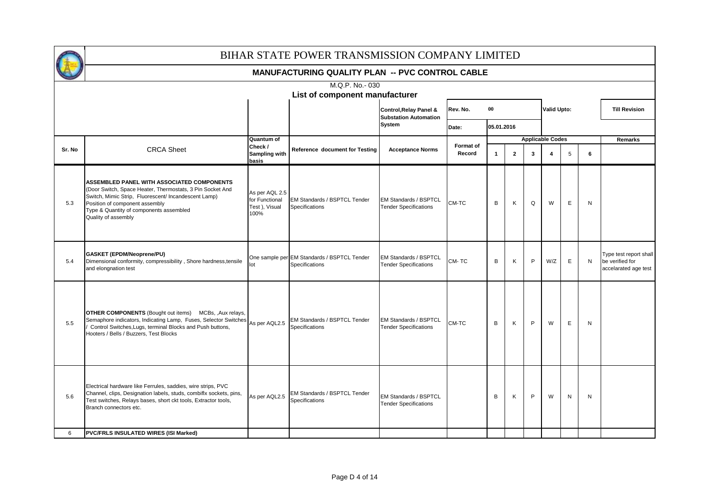

|        | M.Q.P. No. 030                                                                                                                                                                                                                                                             |                                                           |                                                               |                                                        |                     |            |                |   |                         |             |   |                                                                   |
|--------|----------------------------------------------------------------------------------------------------------------------------------------------------------------------------------------------------------------------------------------------------------------------------|-----------------------------------------------------------|---------------------------------------------------------------|--------------------------------------------------------|---------------------|------------|----------------|---|-------------------------|-------------|---|-------------------------------------------------------------------|
|        |                                                                                                                                                                                                                                                                            |                                                           | List of component manufacturer                                |                                                        |                     |            |                |   |                         |             |   |                                                                   |
|        |                                                                                                                                                                                                                                                                            |                                                           |                                                               | Control, Relay Panel &<br><b>Substation Automation</b> | Rev. No.            | 00         |                |   | <b>Valid Upto:</b>      |             |   | <b>Till Revision</b>                                              |
|        |                                                                                                                                                                                                                                                                            |                                                           |                                                               | System                                                 | Date:               | 05.01.2016 |                |   |                         |             |   |                                                                   |
|        |                                                                                                                                                                                                                                                                            | Quantum of                                                |                                                               |                                                        |                     |            |                |   | <b>Applicable Codes</b> |             |   | <b>Remarks</b>                                                    |
| Sr. No | <b>CRCA</b> Sheet                                                                                                                                                                                                                                                          | Check /<br>Sampling with<br>basis                         | Reference document for Testing                                | <b>Acceptance Norms</b>                                | Format of<br>Record |            | $\overline{2}$ | 3 | 4                       | 5           | 6 |                                                                   |
| 5.3    | <b>ASSEMBLED PANEL WITH ASSOCIATED COMPONENTS</b><br>(Door Switch, Space Heater, Thermostats, 3 Pin Socket And<br>Switch, Mimic Strip, Fluorescent/ Incandescent Lamp)<br>Position of component assembly<br>Type & Quantity of components assembled<br>Quality of assembly | As per AQL 2.5<br>for Functional<br>Test), Visual<br>100% | EM Standards / BSPTCL Tender<br>Specifications                | EM Standards / BSPTCL<br><b>Tender Specifications</b>  | CM-TC               | B          | Κ              | Q | W                       | E           | N |                                                                   |
| 5.4    | GASKET (EPDM/Neoprene/PU)<br>Dimensional conformity, compressibility, Shore hardness, tensile<br>and elongnation test                                                                                                                                                      | lot                                                       | One sample per EM Standards / BSPTCL Tender<br>Specifications | EM Standards / BSPTCL<br><b>Tender Specifications</b>  | CM-TC               | B          | K              | P | W/Z                     | E           | N | Type test report shall<br>be verified for<br>accelarated age test |
| 5.5    | <b>OTHER COMPONENTS</b> (Bought out items) MCBs, , Aux relays,<br>Semaphore indicators, Indicating Lamp, Fuses, Selector Switches<br>Control Switches, Lugs, terminal Blocks and Push buttons,<br>Hooters / Bells / Buzzers, Test Blocks                                   | As per AQL2.5                                             | EM Standards / BSPTCL Tender<br>Specifications                | EM Standards / BSPTCL<br><b>Tender Specifications</b>  | CM-TC               | B          | K              | P | W                       | $\mathsf E$ | N |                                                                   |
| 5.6    | Electrical hardware like Ferrules, saddies, wire strips, PVC<br>Channel, clips, Designation labels, studs, combiflx sockets, pins,<br>Test switches, Relays bases, short ckt tools, Extractor tools,<br>Branch connectors etc.                                             | As per AQL2.5                                             | EM Standards / BSPTCL Tender<br>Specifications                | EM Standards / BSPTCL<br><b>Tender Specifications</b>  |                     | B          | K              | P | W                       | ${\sf N}$   | N |                                                                   |
| 6      | PVC/FRLS INSULATED WIRES (ISI Marked)                                                                                                                                                                                                                                      |                                                           |                                                               |                                                        |                     |            |                |   |                         |             |   |                                                                   |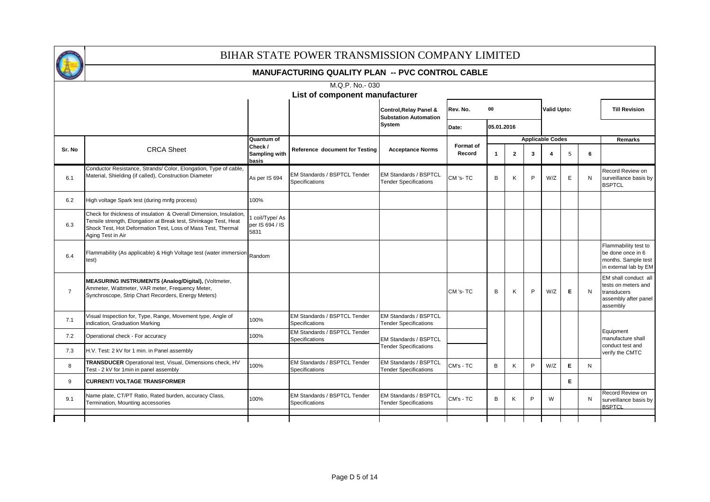

|                | M.Q.P. No. 030                                                                                                                                                                                                              |                                                        |                                                       |                                                                   |                     |            |                |   |                              |    |   |                                                                                                |
|----------------|-----------------------------------------------------------------------------------------------------------------------------------------------------------------------------------------------------------------------------|--------------------------------------------------------|-------------------------------------------------------|-------------------------------------------------------------------|---------------------|------------|----------------|---|------------------------------|----|---|------------------------------------------------------------------------------------------------|
|                |                                                                                                                                                                                                                             |                                                        | List of component manufacturer                        |                                                                   | Rev. No.            | $00\,$     |                |   | <b>Valid Upto:</b>           |    |   | <b>Till Revision</b>                                                                           |
|                |                                                                                                                                                                                                                             |                                                        |                                                       | <b>Control, Relay Panel &amp;</b><br><b>Substation Automation</b> |                     |            |                |   |                              |    |   |                                                                                                |
|                |                                                                                                                                                                                                                             |                                                        |                                                       | <b>System</b>                                                     | Date:               | 05.01.2016 |                |   |                              |    |   |                                                                                                |
| Sr. No         | <b>CRCA Sheet</b>                                                                                                                                                                                                           | Quantum of<br>Check /<br><b>Sampling with</b><br>basis | Reference document for Testing                        | <b>Acceptance Norms</b>                                           | Format of<br>Record | 1          | $\overline{2}$ | 3 | <b>Applicable Codes</b><br>4 | 5  | 6 | <b>Remarks</b>                                                                                 |
| 6.1            | Conductor Resistance, Strands/ Color, Elongation, Type of cable,<br>Material, Shielding (if called), Construction Diameter                                                                                                  | As per IS 694                                          | EM Standards / BSPTCL Tender<br>Specifications        | EM Standards / BSPTCL<br><b>Tender Specifications</b>             | CM 's-TC            | B          | K              | P | W/Z                          | E  | N | Record Review on<br>surveillance basis by<br><b>BSPTCL</b>                                     |
| 6.2            | High voltage Spark test (during mnfg process)                                                                                                                                                                               | 100%                                                   |                                                       |                                                                   |                     |            |                |   |                              |    |   |                                                                                                |
| 6.3            | Check for thickness of insulation & Overall Dimension, Insulation.<br>Tensile strength, Elongation at Break test, Shrinkage Test, Heat<br>Shock Test, Hot Deformation Test, Loss of Mass Test, Thermal<br>Aging Test in Air | coil/Type/As<br>per IS 694 / IS<br>5831                |                                                       |                                                                   |                     |            |                |   |                              |    |   |                                                                                                |
| 6.4            | Flammability (As applicable) & High Voltage test (water immersion Random<br>test)                                                                                                                                           |                                                        |                                                       |                                                                   |                     |            |                |   |                              |    |   | Flammability test to<br>be done once in 6<br>months. Sample test<br>in external lab by EM      |
| $\overline{7}$ | MEASURING INSTRUMENTS (Analog/Digital), (Voltmeter,<br>Ammeter, Wattmeter, VAR meter, Frequency Meter,<br>Synchroscope, Strip Chart Recorders, Energy Meters)                                                               |                                                        |                                                       |                                                                   | CM 's-TC            | B          | K              | P | W/Z                          | E. | N | EM shall conduct all<br>tests on meters and<br>transducers<br>assembly after panel<br>assembly |
| 7.1            | Visual Inspection for, Type, Range, Movement type, Angle of<br>indication, Graduation Marking                                                                                                                               | 100%                                                   | EM Standards / BSPTCL Tender<br><b>Specifications</b> | <b>EM Standards / BSPTCL</b><br><b>Tender Specifications</b>      |                     |            |                |   |                              |    |   |                                                                                                |
| 7.2            | Operational check - For accuracy                                                                                                                                                                                            | 100%                                                   | EM Standards / BSPTCL Tender<br>Specifications        | EM Standards / BSPTCL                                             |                     |            |                |   |                              |    |   | Equipment<br>manufacture shall                                                                 |
| 7.3            | H.V. Test: 2 kV for 1 min. in Panel assembly                                                                                                                                                                                |                                                        |                                                       | <b>Tender Specifications</b>                                      |                     |            |                |   |                              |    |   | conduct test and<br>verify the CMTC                                                            |
| 8              | TRANSDUCER Operational test, Visual, Dimensions check, HV<br>Test - 2 kV for 1min in panel assembly                                                                                                                         | 100%                                                   | <b>EM Standards / BSPTCL Tender</b><br>Specifications | <b>EM Standards / BSPTCL</b><br><b>Tender Specifications</b>      | CM's - TC           | B          | Κ              | P | W/Z                          | Е  | N |                                                                                                |
| 9              | <b>CURRENT/ VOLTAGE TRANSFORMER</b>                                                                                                                                                                                         |                                                        |                                                       |                                                                   |                     |            |                |   |                              | E. |   |                                                                                                |
| 9.1            | Name plate, CT/PT Ratio, Rated burden, accuracy Class,<br>Termination, Mounting accessories                                                                                                                                 | 100%                                                   | EM Standards / BSPTCL Tender<br>Specifications        | EM Standards / BSPTCL<br><b>Tender Specifications</b>             | CM's - TC           | B          | K              | P | W                            |    | N | Record Review on<br>surveillance basis by<br><b>BSPTCL</b>                                     |
|                |                                                                                                                                                                                                                             |                                                        |                                                       |                                                                   |                     |            |                |   |                              |    |   |                                                                                                |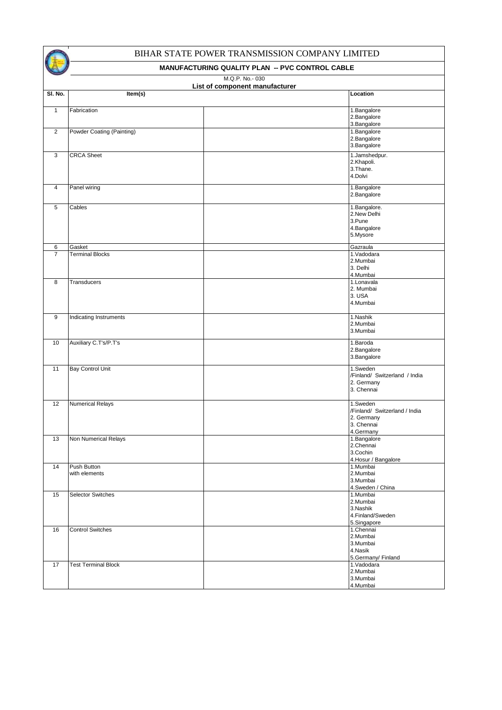| $\tilde{\phantom{a}}$ |                              | <b>MANUFACTURING QUALITT FLAN -- FVC CONTROL CADLE</b> |                                                                                    |
|-----------------------|------------------------------|--------------------------------------------------------|------------------------------------------------------------------------------------|
|                       |                              | M.Q.P. No.-030<br>List of component manufacturer       |                                                                                    |
| SI. No.               | Item(s)                      |                                                        | Location                                                                           |
| $\overline{1}$        | Fabrication                  |                                                        | 1. Bangalore<br>2. Bangalore<br>3. Bangalore                                       |
| $\overline{2}$        | Powder Coating (Painting)    |                                                        | 1. Bangalore<br>2. Bangalore<br>3. Bangalore                                       |
| 3                     | <b>CRCA</b> Sheet            |                                                        | 1.Jamshedpur.<br>2.Khapoli.<br>3. Thane.<br>4.Dolvi                                |
| $\overline{4}$        | Panel wiring                 |                                                        | 1. Bangalore<br>2. Bangalore                                                       |
| 5                     | Cables                       |                                                        | 1. Bangalore.<br>2. New Delhi<br>3.Pune<br>4.Bangalore<br>5.Mysore                 |
| 6                     | Gasket                       |                                                        | Gazraula                                                                           |
| $\overline{7}$        | <b>Terminal Blocks</b>       |                                                        | 1. Vadodara<br>2.Mumbai<br>3. Delhi<br>4.Mumbai                                    |
| 8                     | Transducers                  |                                                        | 1.Lonavala<br>2. Mumbai<br>3. USA<br>4.Mumbai                                      |
| $\overline{9}$        | Indicating Instruments       |                                                        | 1.Nashik<br>2.Mumbai<br>3.Mumbai                                                   |
| 10                    | Auxiliary C.T's/P.T's        |                                                        | 1.Baroda<br>2. Bangalore<br>3. Bangalore                                           |
| 11                    | <b>Bay Control Unit</b>      |                                                        | 1.Sweden<br>/Finland/ Switzerland / India<br>2. Germany<br>3. Chennai              |
| 12                    | <b>Numerical Relays</b>      |                                                        | 1.Sweden<br>/Finland/ Switzerland / India<br>2. Germany<br>3. Chennai<br>4.Germany |
| 13                    | Non Numerical Relays         |                                                        | 1.Bangalore<br>2.Chennai<br>3.Cochin<br>4. Hosur / Bangalore                       |
| 14                    | Push Button<br>with elements |                                                        | 1.Mumbai<br>2.Mumbai<br>3.Mumbai<br>4. Sweden / China                              |
| 15                    | <b>Selector Switches</b>     |                                                        | 1.Mumbai<br>2.Mumbai<br>3. Nashik<br>4. Finland/Sweden<br>5.Singapore              |
| 16                    | <b>Control Switches</b>      |                                                        | 1.Chennai<br>2.Mumbai<br>3.Mumbai<br>4.Nasik<br>5.Germany/Finland                  |
| 17                    | <b>Test Terminal Block</b>   |                                                        | 1. Vadodara<br>2.Mumbai<br>3.Mumbai<br>4.Mumbai                                    |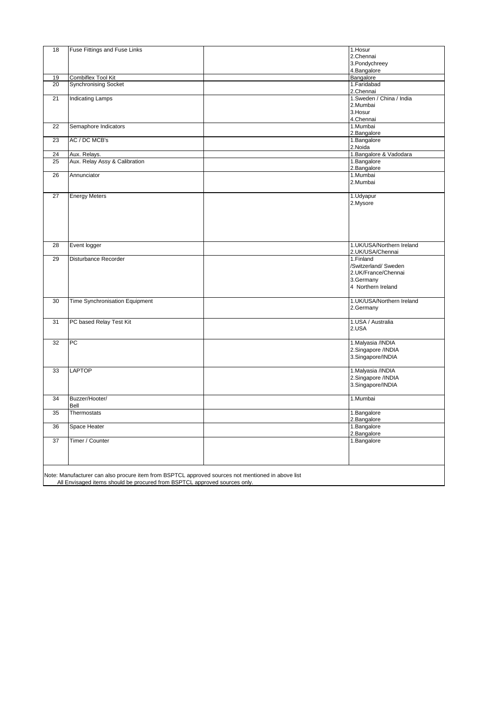| 18              | Fuse Fittings and Fuse Links                                              |                                                                                                   | 1. Hosur                  |
|-----------------|---------------------------------------------------------------------------|---------------------------------------------------------------------------------------------------|---------------------------|
|                 |                                                                           |                                                                                                   | 2.Chennai                 |
|                 |                                                                           |                                                                                                   | 3. Pondychreey            |
|                 |                                                                           |                                                                                                   | 4.Bangalore               |
| 19              | Combiflex Tool Kit                                                        |                                                                                                   | Bangalore                 |
|                 |                                                                           |                                                                                                   |                           |
| 20              | <b>Synchronising Socket</b>                                               |                                                                                                   | 1. Faridabad              |
|                 |                                                                           |                                                                                                   | 2.Chennai                 |
| 21              | <b>Indicating Lamps</b>                                                   |                                                                                                   | 1. Sweden / China / India |
|                 |                                                                           |                                                                                                   | 2.Mumbai                  |
|                 |                                                                           |                                                                                                   | 3. Hosur                  |
|                 |                                                                           |                                                                                                   | 4.Chennai                 |
| $\overline{22}$ | Semaphore Indicators                                                      |                                                                                                   | 1.Mumbai                  |
|                 |                                                                           |                                                                                                   | 2. Bangalore              |
| 23              | AC / DC MCB's                                                             |                                                                                                   | 1. Bangalore              |
|                 |                                                                           |                                                                                                   | 2. Noida                  |
|                 |                                                                           |                                                                                                   |                           |
| 24              | Aux. Relays.                                                              |                                                                                                   | 1. Bangalore & Vadodara   |
| 25              | Aux. Relay Assy & Calibration                                             |                                                                                                   | 1.Bangalore               |
|                 |                                                                           |                                                                                                   | 2. Bangalore              |
| 26              | Annunciator                                                               |                                                                                                   | 1.Mumbai                  |
|                 |                                                                           |                                                                                                   | 2.Mumbai                  |
|                 |                                                                           |                                                                                                   |                           |
| 27              | <b>Energy Meters</b>                                                      |                                                                                                   | 1.Udyapur                 |
|                 |                                                                           |                                                                                                   | 2.Mysore                  |
|                 |                                                                           |                                                                                                   |                           |
|                 |                                                                           |                                                                                                   |                           |
|                 |                                                                           |                                                                                                   |                           |
|                 |                                                                           |                                                                                                   |                           |
|                 |                                                                           |                                                                                                   |                           |
|                 |                                                                           |                                                                                                   |                           |
| 28              | Event logger                                                              |                                                                                                   | 1.UK/USA/Northern Ireland |
|                 |                                                                           |                                                                                                   | 2.UK/USA/Chennai          |
| 29              | Disturbance Recorder                                                      |                                                                                                   | 1.Finland                 |
|                 |                                                                           |                                                                                                   | /Switzerland/ Sweden      |
|                 |                                                                           |                                                                                                   | 2.UK/France/Chennai       |
|                 |                                                                           |                                                                                                   | 3.Germany                 |
|                 |                                                                           |                                                                                                   | 4 Northern Ireland        |
|                 |                                                                           |                                                                                                   |                           |
|                 |                                                                           |                                                                                                   |                           |
| 30              | Time Synchronisation Equipment                                            |                                                                                                   | 1.UK/USA/Northern Ireland |
|                 |                                                                           |                                                                                                   | 2.Germany                 |
|                 |                                                                           |                                                                                                   |                           |
| 31              | PC based Relay Test Kit                                                   |                                                                                                   | 1.USA / Australia         |
|                 |                                                                           |                                                                                                   | 2.USA                     |
|                 |                                                                           |                                                                                                   |                           |
| 32              | PC                                                                        |                                                                                                   | 1. Malyasia /INDIA        |
|                 |                                                                           |                                                                                                   | 2. Singapore /INDIA       |
|                 |                                                                           |                                                                                                   | 3. Singapore/INDIA        |
|                 |                                                                           |                                                                                                   |                           |
| 33              | <b>LAPTOP</b>                                                             |                                                                                                   | 1. Malyasia /INDIA        |
|                 |                                                                           |                                                                                                   |                           |
|                 |                                                                           |                                                                                                   | 2. Singapore /INDIA       |
|                 |                                                                           |                                                                                                   | 3. Singapore/INDIA        |
|                 |                                                                           |                                                                                                   |                           |
| 34              | Buzzer/Hooter/                                                            |                                                                                                   | 1.Mumbai                  |
|                 | Bell                                                                      |                                                                                                   |                           |
| 35              | Thermostats                                                               |                                                                                                   | 1. Bangalore              |
|                 |                                                                           |                                                                                                   | 2. Bangalore              |
| 36              | Space Heater                                                              |                                                                                                   | 1. Bangalore              |
|                 |                                                                           |                                                                                                   | 2. Bangalore              |
| 37              | Timer / Counter                                                           |                                                                                                   | 1. Bangalore              |
|                 |                                                                           |                                                                                                   |                           |
|                 |                                                                           |                                                                                                   |                           |
|                 |                                                                           |                                                                                                   |                           |
|                 |                                                                           |                                                                                                   |                           |
|                 |                                                                           |                                                                                                   |                           |
|                 |                                                                           | Note: Manufacturer can also procure item from BSPTCL approved sources not mentioned in above list |                           |
|                 | All Envisaged items should be procured from BSPTCL approved sources only. |                                                                                                   |                           |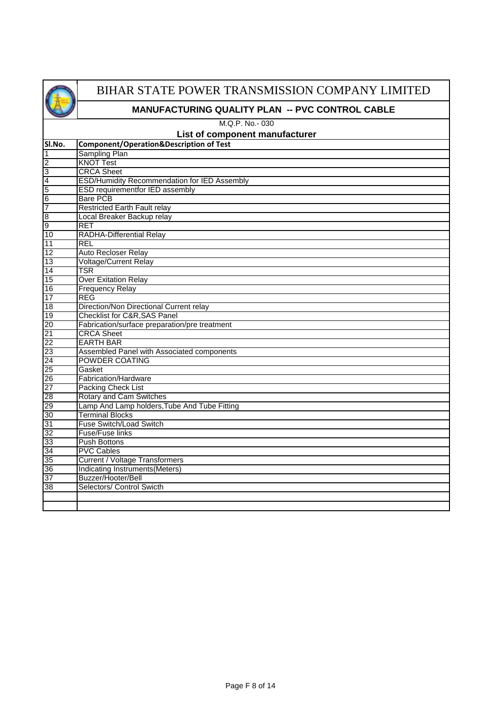

# **MANUFACTURING QUALITY PLAN -- PVC CONTROL CABLE**

M.Q.P. No.- 030

# **List of component manufacturer**

| SI.No.             | <b>Component/Operation&amp;Description of Test</b> |
|--------------------|----------------------------------------------------|
| 1                  | Sampling Plan                                      |
| $\overline{2}$     | <b>KNOT Test</b>                                   |
| 3                  | <b>CRCA Sheet</b>                                  |
| $\overline{4}$     | ESD/Humidity Recommendation for IED Assembly       |
| 5                  | ESD requirementfor IED assembly                    |
| 6                  | <b>Bare PCB</b>                                    |
| 7                  | Restricted Earth Fault relay                       |
| $\overline{\bf 8}$ | Local Breaker Backup relay                         |
| 9                  | <b>RET</b>                                         |
| 10                 | RADHA-Differential Relay                           |
| 11                 | <b>REL</b>                                         |
| 12                 | Auto Recloser Relay                                |
| 13                 | <b>Voltage/Current Relay</b>                       |
| 14                 | <b>TSR</b>                                         |
| 15                 | <b>Over Exitation Relay</b>                        |
| 16                 | <b>Frequency Relay</b>                             |
| 17                 | <b>REG</b>                                         |
| 18                 | Direction/Non Directional Current relay            |
| 19                 | Checklist for C&R, SAS Panel                       |
| 20                 | Fabrication/surface preparation/pre treatment      |
| 21                 | <b>CRCA Sheet</b>                                  |
| 22                 | <b>EARTH BAR</b>                                   |
| 23                 | Assembled Panel with Associated components         |
| 24                 | <b>POWDER COATING</b>                              |
| 25                 | Gasket                                             |
| 26                 | Fabrication/Hardware                               |
| 27                 | Packing Check List                                 |
| 28                 | Rotary and Cam Switches                            |
| 29                 | Lamp And Lamp holders, Tube And Tube Fitting       |
| 30                 | <b>Terminal Blocks</b>                             |
| 31                 | <b>Fuse Switch/Load Switch</b>                     |
| 32                 | Fuse/Fuse links                                    |
| 33                 | <b>Push Bottons</b>                                |
| 34                 | <b>PVC Cables</b>                                  |
| 35                 | <b>Current / Voltage Transformers</b>              |
| 36                 | Indicating Instruments(Meters)                     |
| 37                 | Buzzer/Hooter/Bell                                 |
| 38                 | Selectors/ Control Swicth                          |
|                    |                                                    |
|                    |                                                    |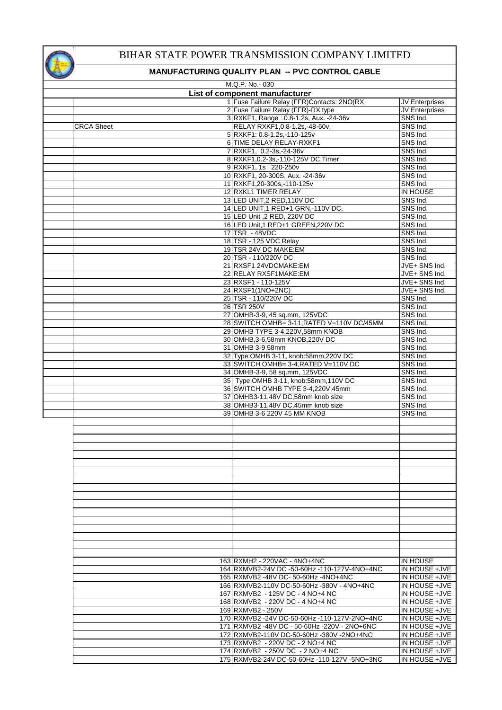

| M.Q.P. No.-030 |                                |                                                                          |                           |  |  |  |  |  |
|----------------|--------------------------------|--------------------------------------------------------------------------|---------------------------|--|--|--|--|--|
|                | List of component manufacturer |                                                                          |                           |  |  |  |  |  |
|                |                                | 1 Fuse Failure Relay (FFR)Contacts: 2NO(RX                               | <b>JV</b> Enterprises     |  |  |  |  |  |
|                |                                | 2 Fuse Failure Relay (FFR)-RX type                                       | <b>JV Enterprises</b>     |  |  |  |  |  |
|                |                                | 3 RXKF1, Range: 0.8-1.2s, Aux. -24-36v                                   | SNS Ind.                  |  |  |  |  |  |
|                | CRCA Sheet                     | RELAY RXKF1, 0.8-1.2s, -48-60v,                                          | SNS Ind.                  |  |  |  |  |  |
|                |                                | 5 RXKF1: 0.8-1.2s,-110-125v                                              | SNS Ind.                  |  |  |  |  |  |
|                |                                | 6 TIME DELAY RELAY-RXKF1                                                 | SNS Ind.                  |  |  |  |  |  |
|                |                                | 7 RXKF1, 0.2-3s,-24-36v                                                  | SNS Ind.                  |  |  |  |  |  |
|                |                                | 8 RXKF1, 0.2-3s, -110-125V DC, Timer                                     | SNS Ind.                  |  |  |  |  |  |
|                |                                | 9 RXKF1, 1s 220-250v                                                     | SNS Ind.                  |  |  |  |  |  |
|                |                                | 10 RXKF1, 20-300S, Aux. -24-36v                                          | SNS Ind.                  |  |  |  |  |  |
|                |                                | 11 RXKF1,20-300s,-110-125v                                               | SNS Ind.                  |  |  |  |  |  |
|                |                                | 12 RXKL1 TIMER RELAY                                                     | IN HOUSE                  |  |  |  |  |  |
|                |                                | 13 LED UNIT,2 RED,110V DC                                                | SNS Ind.                  |  |  |  |  |  |
|                |                                | 14 LED UNIT, 1 RED+1 GRN, -110V DC,                                      | SNS Ind.                  |  |  |  |  |  |
|                |                                | 15 LED Unit ,2 RED, 220V DC                                              | SNS Ind.<br>SNS Ind.      |  |  |  |  |  |
|                |                                | 16 LED Unit, 1 RED+1 GREEN, 220V DC<br>$17$ TSR - 48VDC                  | SNS Ind.                  |  |  |  |  |  |
|                |                                | 18 TSR - 125 VDC Relay                                                   | SNS Ind.                  |  |  |  |  |  |
|                |                                | 19 TSR 24V DC MAKE:EM                                                    | SNS Ind.                  |  |  |  |  |  |
|                |                                | 20 TSR - 110/220V DC                                                     | SNS Ind.                  |  |  |  |  |  |
|                |                                | 21 RXSF1 24VDCMAKE:EM                                                    | JVE+ SNS Ind.             |  |  |  |  |  |
|                |                                | 22 RELAY RXSF1MAKE:EM                                                    | JVE+ SNS Ind.             |  |  |  |  |  |
|                |                                | 23 RXSF1 - 110-125V                                                      | JVE+ SNS Ind.             |  |  |  |  |  |
|                |                                | 24 RXSF1(1NO+2NC)                                                        | JVE+ SNS Ind.             |  |  |  |  |  |
|                |                                | 25 TSR - 110/220V DC                                                     | SNS Ind.                  |  |  |  |  |  |
|                |                                | 26 TSR 250V                                                              | SNS Ind.                  |  |  |  |  |  |
|                |                                | 27 OMHB-3-9, 45 sq.mm, 125VDC                                            | SNS Ind.                  |  |  |  |  |  |
|                |                                | 28 SWITCH OMHB= 3-11; RATED V=110V DC/45MM                               | SNS Ind.                  |  |  |  |  |  |
|                |                                | 29 OMHB TYPE 3-4,220V,58mm KNOB                                          | SNS Ind.                  |  |  |  |  |  |
|                |                                | 30 OMHB, 3-6, 58mm KNOB, 220V DC                                         | SNS Ind.                  |  |  |  |  |  |
|                |                                | 31 OMHB 3-9 58mm                                                         | SNS Ind.                  |  |  |  |  |  |
|                |                                | 32 Type: OMHB 3-11, knob: 58mm, 220V DC                                  | SNS Ind.                  |  |  |  |  |  |
|                |                                | 33 SWITCH OMHB= 3-4, RATED V=110V DC                                     | SNS Ind.                  |  |  |  |  |  |
|                |                                | 34 OMHB-3-9, 58 sq.mm, 125VDC<br>35 Type: OMHB 3-11, knob: 58mm, 110 VDC | SNS Ind.<br>SNS Ind.      |  |  |  |  |  |
|                |                                | 36 SWITCH OMHB TYPE 3-4,220V,45mm                                        | SNS Ind.                  |  |  |  |  |  |
|                |                                | 37 OMHB3-11,48V DC,58mm knob size                                        | SNS Ind.                  |  |  |  |  |  |
|                |                                | 38 OMHB3-11,48V DC,45mm knob size                                        | SNS Ind.                  |  |  |  |  |  |
|                |                                | 39 OMHB 3-6 220V 45 MM KNOB                                              | SNS Ind.                  |  |  |  |  |  |
|                |                                |                                                                          |                           |  |  |  |  |  |
|                |                                |                                                                          |                           |  |  |  |  |  |
|                |                                |                                                                          |                           |  |  |  |  |  |
|                |                                |                                                                          |                           |  |  |  |  |  |
|                |                                |                                                                          |                           |  |  |  |  |  |
|                |                                |                                                                          |                           |  |  |  |  |  |
|                |                                |                                                                          |                           |  |  |  |  |  |
|                |                                |                                                                          |                           |  |  |  |  |  |
|                |                                |                                                                          |                           |  |  |  |  |  |
|                |                                |                                                                          |                           |  |  |  |  |  |
|                |                                |                                                                          |                           |  |  |  |  |  |
|                |                                |                                                                          |                           |  |  |  |  |  |
|                |                                |                                                                          |                           |  |  |  |  |  |
|                |                                |                                                                          |                           |  |  |  |  |  |
|                |                                |                                                                          |                           |  |  |  |  |  |
|                |                                | 163 RXMH2 - 220VAC - 4NO+4NC                                             |                           |  |  |  |  |  |
|                |                                | 164 RXMVB2-24V DC -50-60Hz -110-127V-4NO+4NC                             | IN HOUSE<br>IN HOUSE +JVE |  |  |  |  |  |
|                |                                | 165 RXMVB2 -48V DC- 50-60Hz -4NO+4NC                                     | IN HOUSE +JVE             |  |  |  |  |  |
|                |                                | 166 RXMVB2-110V DC-50-60Hz -380V - 4NO+4NC                               | IN HOUSE +JVE             |  |  |  |  |  |
|                |                                | 167 RXMVB2 - 125V DC - 4 NO+4 NC                                         | IN HOUSE +JVE             |  |  |  |  |  |
|                |                                | 168 RXMVB2 - 220V DC - 4 NO+4 NC                                         | IN HOUSE +JVE             |  |  |  |  |  |
|                |                                | 169 RXMVB2 - 250V                                                        | IN HOUSE +JVE             |  |  |  |  |  |
|                |                                | 170 RXMVB2 -24V DC-50-60Hz -110-127V-2NO+4NC                             | IN HOUSE +JVE             |  |  |  |  |  |
|                |                                | 171 RXMVB2 -48V DC - 50-60Hz -220V - 2NO+6NC                             | IN HOUSE +JVE             |  |  |  |  |  |
|                |                                | 172 RXMVB2-110V DC-50-60Hz -380V -2NO+4NC                                | IN HOUSE +JVE             |  |  |  |  |  |
|                |                                | 173 RXMVB2 - 220V DC - 2 NO+4 NC                                         | IN HOUSE +JVE             |  |  |  |  |  |
|                |                                | 174 RXMVB2 - 250V DC - 2 NO+4 NC                                         | IN HOUSE +JVE             |  |  |  |  |  |
|                |                                | 175 RXMVB2-24V DC-50-60Hz -110-127V -5NO+3NC                             | IN HOUSE +JVE             |  |  |  |  |  |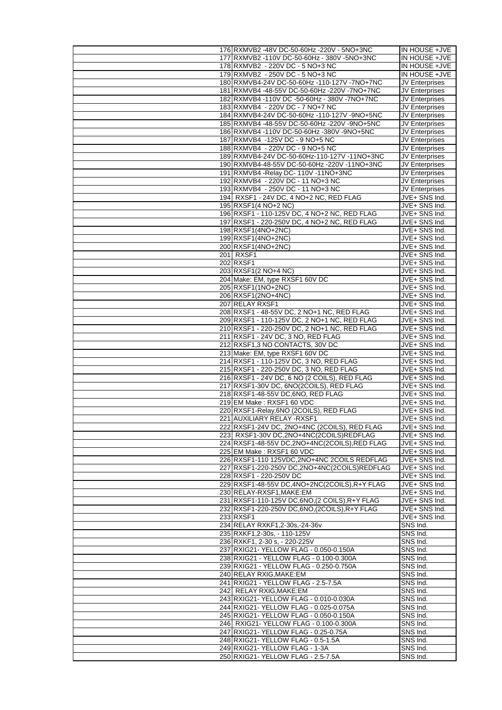| 176 RXMVB2 -48V DC-50-60Hz -220V - 5NO+3NC      | IN HOUSE +JVE         |
|-------------------------------------------------|-----------------------|
| 177 RXMVB2 -110V DC-50-60Hz - 380V -5NO+3NC     | IN HOUSE +JVE         |
| 178 RXMVB2 - 220V DC - 5 NO+3 NC                | IN HOUSE +JVE         |
|                                                 |                       |
| 179 RXMVB2 - 250V DC - 5 NO+3 NC                | IN HOUSE +JVE         |
| 180 RXMVB4-24V DC-50-60Hz -110-127V -7NO+7NC    | <b>JV</b> Enterprises |
| 181 RXMVB4 -48-55V DC-50-60Hz -220V -7NO+7NC    | JV Enterprises        |
| 182 RXMVB4 -110V DC -50-60Hz - 380V -7NO+7NC    | <b>JV</b> Enterprises |
| 183 RXMVB4 - 220V DC - 7 NO+7 NC                | JV Enterprises        |
| 184 RXMVB4-24V DC-50-60Hz -110-127V -9NO+5NC    | JV Enterprises        |
|                                                 |                       |
| 185 RXMVB4 -48-55V DC-50-60Hz -220V -9NO+5NC    | <b>JV</b> Enterprises |
| 186 RXMVB4 -110V DC-50-60Hz -380V -9NO+5NC      | JV Enterprises        |
| 187 RXMVB4 - 125V DC - 9 NO+5 NC                | <b>JV</b> Enterprises |
| 188 RXMVB4 - 220V DC - 9 NO+5 NC                | JV Enterprises        |
| 189 RXMVB4-24V DC-50-60Hz-110-127V -11NO+3NC    | JV Enterprises        |
| 190 RXMVB4-48-55V DC-50-60Hz -220V -11NO+3NC    | <b>JV</b> Enterprises |
|                                                 |                       |
| 191 RXMVB4 - Relay DC- 110V - 11NO+3NC          | JV Enterprises        |
| 192 RXMVB4 - 220V DC - 11 NO+3 NC               | <b>JV</b> Enterprises |
| 193 RXMVB4 - 250V DC - 11 NO+3 NC               | JV Enterprises        |
| 194 RXSF1 - 24V DC, 4 NO+2 NC, RED FLAG         | JVE+ SNS Ind.         |
| 195 RXSF1(4 NO+2 NC)                            | JVE+ SNS Ind.         |
| 196 RXSF1 - 110-125V DC, 4 NO+2 NC, RED FLAG    | JVE+ SNS Ind.         |
| 197 RXSF1 - 220-250V DC, 4 NO+2 NC, RED FLAG    | JVE+ SNS Ind.         |
|                                                 |                       |
| 198 RXSF1(4NO+2NC)                              | JVE+ SNS Ind.         |
| 199 RXSF1(4NO+2NC)                              | JVE+ SNS Ind.         |
| 200 RXSF1(4NO+2NC)                              | JVE+ SNS Ind.         |
| 201 RXSF1                                       | JVE+ SNS Ind.         |
| 202 RXSF1                                       | JVE+ SNS Ind.         |
| 203 RXSF1(2 NO+4 NC)                            | JVE+ SNS Ind.         |
| 204 Make: EM, type RXSF1 60V DC                 | JVE+ SNS Ind.         |
|                                                 |                       |
| 205 RXSF1(1NO+2NC)                              | JVE+ SNS Ind.         |
| 206 RXSF1(2NO+4NC)                              | JVE+ SNS Ind.         |
| 207 RELAY RXSF1                                 | JVE+ SNS Ind.         |
| 208 RXSF1 - 48-55V DC, 2 NO+1 NC, RED FLAG      | JVE+ SNS Ind.         |
| 209 RXSF1 - 110-125V DC, 2 NO+1 NC, RED FLAG    | JVE+ SNS Ind.         |
| 210 RXSF1 - 220-250V DC, 2 NO+1 NC, RED FLAG    | JVE+ SNS Ind.         |
| 211 RXSF1 - 24V DC, 3 NO, RED FLAG              | JVE+ SNS Ind.         |
|                                                 |                       |
| 212 RXSF1,3 NO CONTACTS, 30V DC                 | JVE+ SNS Ind.         |
| 213 Make: EM, type RXSF1 60V DC                 | JVE+ SNS Ind.         |
| 214 RXSF1 - 110-125V DC, 3 NO, RED FLAG         | JVE+ SNS Ind.         |
| 215 RXSF1 - 220-250V DC, 3 NO, RED FLAG         | JVE+ SNS Ind.         |
| 216 RXSF1 - 24V DC, 6 NO (2 COILS), RED FLAG    | JVE+ SNS Ind.         |
| 217 RXSF1-30V DC, 6NO(2COILS), RED FLAG         | JVE+ SNS Ind.         |
| 218 RXSF1-48-55V DC, 6NO, RED FLAG              | JVE+ SNS Ind.         |
| 219 EM Make: RXSF1 60 VDC                       | JVE+ SNS Ind.         |
| 220 RXSF1-Relay, 6NO (2COILS), RED FLAG         | JVE+ SNS Ind.         |
| 221 AUXILIARY RELAY - RXSF1                     | JVE+ SNS Ind.         |
|                                                 |                       |
| 222 RXSF1-24V DC, 2NO+4NC (2COILS), RED FLAG    | JVE+ SNS Ind.         |
| 223 RXSF1-30V DC,2NO+4NC(2COILS)REDFLAG         | JVE+ SNS Ind.         |
| 224 RXSF1-48-55V DC, 2NO+4NC (2COILS), RED FLAG | JVE+ SNS Ind.         |
| 225 EM Make: RXSF1 60 VDC                       | JVE+ SNS Ind.         |
| 226 RXSF1-110 125VDC, 2NO+4NC 2COILS REDFLAG    | JVE+ SNS Ind.         |
| 227 RXSF1-220-250V DC,2NO+4NC(2COILS)REDFLAG    | JVE+ SNS Ind.         |
| 228 RXSF1 - 220-250V DC                         | JVE+ SNS Ind.         |
|                                                 |                       |
| 229 RXSF1-48-55V DC,4NO+2NC(2COILS),R+Y FLAG    | JVE+ SNS Ind.         |
| 230 RELAY-RXSF1, MAKE: EM                       | JVE+ SNS Ind.         |
| 231 RXSF1-110-125V DC,6NO,(2 COILS), R+Y FLAG   | JVE+ SNS Ind.         |
| 232 RXSF1-220-250V DC.6NO.(2COILS).R+Y FLAG     | JVE+ SNS Ind.         |
| 233 RXSF1                                       | JVE+ SNS Ind.         |
| 234 RELAY RXKF1,2-30s,-24-36v                   | SNS Ind.              |
| 235 RXKF1,2-30s, - 110-125V                     | SNS Ind.              |
| 236 RXKF1, 2-30 s, - 220-225V                   | SNS Ind.              |
| 237 RXIG21- YELLOW FLAG - 0.050-0.150A          | SNS Ind.              |
|                                                 |                       |
| 238 RXIG21 - YELLOW FLAG - 0.100-0.300A         | SNS Ind.              |
| 239 RXIG21 - YELLOW FLAG - 0.250-0.750A         | SNS Ind.              |
| 240 RELAY RXIG, MAKE: EM                        | SNS Ind.              |
| 241 RXIG21 - YELLOW FLAG - 2.5-7.5A             | SNS Ind.              |
| 242 RELAY RXIG, MAKE: EM                        | SNS Ind.              |
| 243 RXIG21- YELLOW FLAG - 0.010-0.030A          | SNS Ind.              |
| 244 RXIG21- YELLOW FLAG - 0.025-0.075A          | SNS Ind.              |
|                                                 |                       |
| 245 RXIG21- YELLOW FLAG - 0.050-0.150A          | SNS Ind.              |
| 246 RXIG21- YELLOW FLAG - 0.100-0.300A          | SNS Ind.              |
| 247 RXIG21- YELLOW FLAG - 0.25-0.75A            | SNS Ind.              |
| 248 RXIG21- YELLOW FLAG - 0.5-1.5A              | SNS Ind.              |
| 249 RXIG21- YELLOW FLAG - 1-3A                  | SNS Ind.              |
| 250 RXIG21- YELLOW FLAG - 2.5-7.5A              | SNS Ind.              |
|                                                 |                       |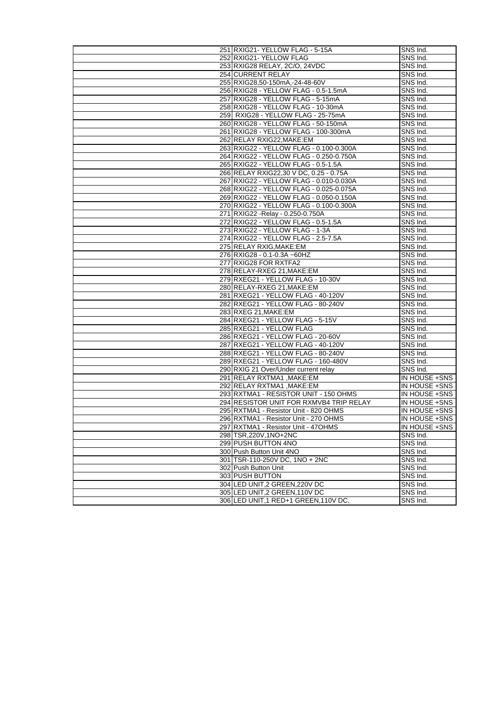| 251 RXIG21- YELLOW FLAG - 5-15A         | SNS Ind.             |
|-----------------------------------------|----------------------|
| 252 RXIG21- YELLOW FLAG                 | SNS Ind.             |
|                                         | SNS Ind.             |
| 253 RXIG28 RELAY, 2C/O, 24VDC           |                      |
| 254 CURRENT RELAY                       | SNS Ind.             |
| 255 RXIG28,50-150mA,-24-48-60V          | SNS Ind.             |
| 256 RXIG28 - YELLOW FLAG - 0.5-1.5mA    | SNS Ind.             |
| 257 RXIG28 - YELLOW FLAG - 5-15mA       | SNS Ind.             |
| 258 RXIG28 - YELLOW FLAG - 10-30mA      | SNS Ind.             |
| 259 RXIG28 - YELLOW FLAG - 25-75mA      | SNS Ind.             |
| 260 RXIG28 - YELLOW FLAG - 50-150mA     | SNS Ind.             |
| 261 RXIG28 - YELLOW FLAG - 100-300mA    | SNS Ind.             |
| 262 RELAY RXIG22, MAKE: EM              | SNS Ind.             |
| 263 RXIG22 - YELLOW FLAG - 0.100-0.300A | SNS Ind.             |
| 264 RXIG22 - YELLOW FLAG - 0.250-0.750A | SNS Ind.             |
| 265 RXIG22 - YELLOW FLAG - 0.5-1.5A     | SNS Ind.             |
| 266 RELAY RXIG22,30 V DC, 0.25 - 0.75A  | SNS Ind.             |
| 267 RXIG22 - YELLOW FLAG - 0.010-0.030A | SNS Ind.             |
| 268 RXIG22 - YELLOW FLAG - 0.025-0.075A | SNS Ind.             |
| 269 RXIG22 - YELLOW FLAG - 0.050-0.150A | SNS Ind.             |
| 270 RXIG22 - YELLOW FLAG - 0.100-0.300A | SNS Ind.             |
| 271 RXIG22 - Relay - 0.250-0.750A       | SNS Ind.             |
| 272 RXIG22 - YELLOW FLAG - 0.5-1.5A     | SNS Ind.             |
| 273 RXIG22 - YELLOW FLAG - 1-3A         | SNS Ind.             |
| 274 RXIG22 - YELLOW FLAG - 2.5-7.5A     | SNS Ind.             |
| 275 RELAY RXIG.MAKE:EM                  | SNS Ind.             |
| 276 RXIG28 - 0.1-0.3A ~60HZ             | SNS Ind.             |
| 277 RXIG28 FOR RXTFA2                   | SNS Ind.             |
| 278 RELAY-RXEG 21, MAKE: EM             | SNS Ind.             |
| 279 RXEG21 - YELLOW FLAG - 10-30V       | SNS Ind.             |
| 280 RELAY-RXEG 21, MAKE: EM             | SNS Ind.             |
| 281 RXEG21 - YELLOW FLAG - 40-120V      | SNS Ind.             |
| 282 RXEG21 - YELLOW FLAG - 80-240V      | SNS Ind.             |
| 283 RXEG 21, MAKE: EM                   | SNS Ind.             |
| 284 RXEG21 - YELLOW FLAG - 5-15V        | SNS Ind.             |
| 285 RXEG21 - YELLOW FLAG                | SNS Ind.             |
| 286 RXEG21 - YELLOW FLAG - 20-60V       | SNS Ind.             |
| 287 RXEG21 - YELLOW FLAG - 40-120V      | SNS Ind.             |
| 288 RXEG21 - YELLOW FLAG - 80-240V      | SNS Ind.             |
| 289 RXEG21 - YELLOW FLAG - 160-480V     | SNS Ind.             |
| 290 RXIG 21 Over/Under current relay    | SNS Ind.             |
| 291 RELAY RXTMA1, MAKE:EM               | IN HOUSE +SNS        |
| 292 RELAY RXTMA1, MAKE:EM               | IN HOUSE +SNS        |
| 293 RXTMA1 - RESISTOR UNIT - 150 OHMS   | IN HOUSE +SNS        |
| 294 RESISTOR UNIT FOR RXMVB4 TRIP RELAY | IN HOUSE +SNS        |
| 295 RXTMA1 - Resistor Unit - 820 OHMS   | IN HOUSE +SNS        |
| 296 RXTMA1 - Resistor Unit - 270 OHMS   | IN HOUSE +SNS        |
| 297 RXTMA1 - Resistor Unit - 47OHMS     | IN HOUSE +SNS        |
| 298 TSR, 220V, 1NO+2NC                  | SNS Ind.             |
| 299 PUSH BUTTON 4NO                     | SNS Ind.             |
| 300 Push Button Unit 4NO                | SNS Ind.             |
|                                         |                      |
| 301 TSR-110-250V DC, 1NO + 2NC          | SNS Ind.<br>SNS Ind. |
| 302 Push Button Unit                    |                      |
| 303 PUSH BUTTON                         | SNS Ind.             |
| 304 LED UNIT,2 GREEN,220V DC            | SNS Ind.             |
| 305 LED UNIT.2 GREEN.110V DC            | SNS Ind.             |
| 306 LED UNIT, 1 RED+1 GREEN, 110V DC,   | SNS Ind.             |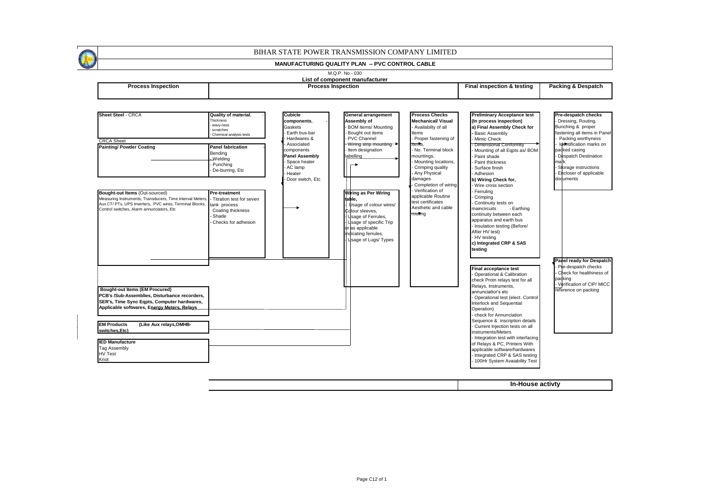

#### **MANUFACTURING QUALITY PLAN -- PVC CONTROL CABLE**

#### $M \cap P$  No.- 030

#### **List of component manufacturer**

| <b>Process Inspection</b> | cess Inspection<br>יים | ∣ inspection & testina<br>Final | . Packing<br>. .<br>Despatch ، |
|---------------------------|------------------------|---------------------------------|--------------------------------|
|                           |                        |                                 |                                |



**In-House activty**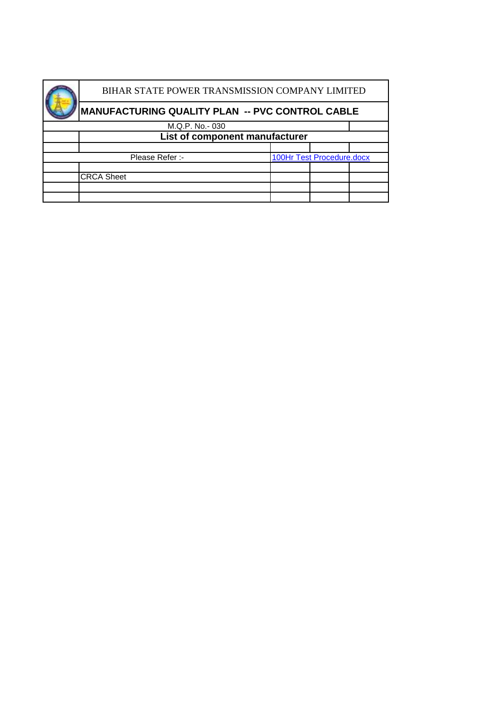| BIHAR STATE POWER TRANSMISSION COMPANY LIMITED  |                   |  |                           |  |
|-------------------------------------------------|-------------------|--|---------------------------|--|
| MANUFACTURING QUALITY PLAN -- PVC CONTROL CABLE |                   |  |                           |  |
|                                                 | M.Q.P. No.-030    |  |                           |  |
| List of component manufacturer                  |                   |  |                           |  |
|                                                 |                   |  |                           |  |
|                                                 | Please Refer :-   |  | 100Hr Test Procedure.docx |  |
|                                                 |                   |  |                           |  |
|                                                 | <b>CRCA Sheet</b> |  |                           |  |
|                                                 |                   |  |                           |  |
|                                                 |                   |  |                           |  |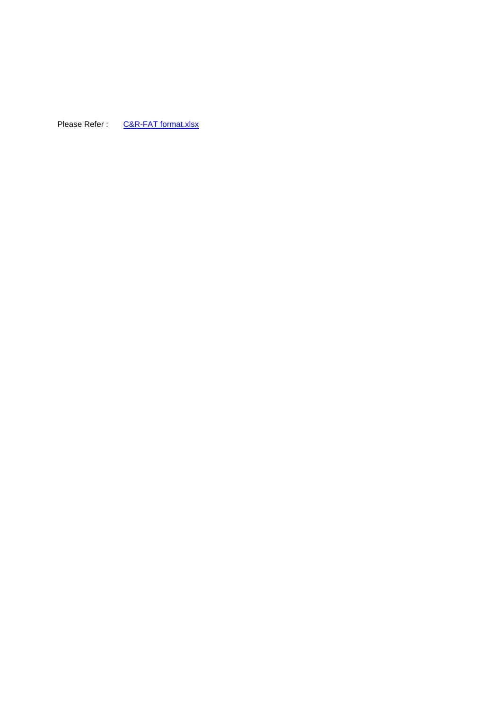Please Refer : <C&R-FAT format.xlsx>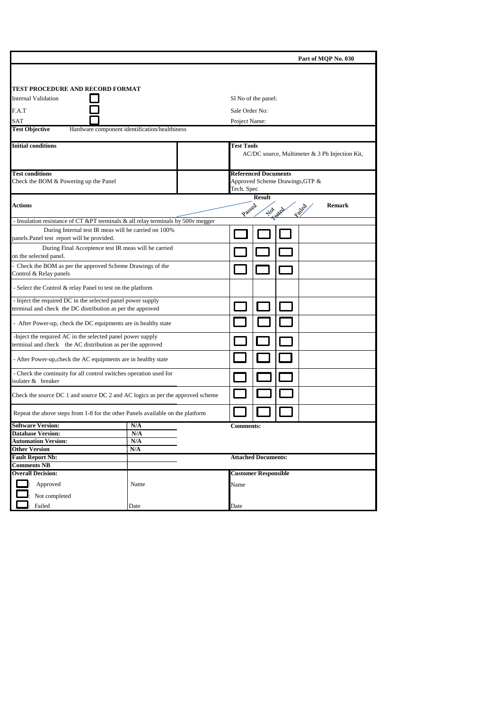|                                                                                      |                                               |                   |                             |         |                                 | Part of MQP No. 030                                |  |
|--------------------------------------------------------------------------------------|-----------------------------------------------|-------------------|-----------------------------|---------|---------------------------------|----------------------------------------------------|--|
|                                                                                      |                                               |                   |                             |         |                                 |                                                    |  |
|                                                                                      |                                               |                   |                             |         |                                 |                                                    |  |
| TEST PROCEDURE AND RECORD FORMAT                                                     |                                               |                   |                             |         |                                 |                                                    |  |
| Internal Validation                                                                  |                                               |                   | SI No of the panel:         |         |                                 |                                                    |  |
| F.A.T                                                                                |                                               | Sale Order No:    |                             |         |                                 |                                                    |  |
|                                                                                      |                                               |                   |                             |         |                                 |                                                    |  |
| SAT                                                                                  |                                               | Project Name:     |                             |         |                                 |                                                    |  |
| <b>Test Objective</b>                                                                | Hardware component identification/healthiness |                   |                             |         |                                 |                                                    |  |
| <b>Initial conditions</b>                                                            |                                               | <b>Test Tools</b> |                             |         |                                 |                                                    |  |
|                                                                                      |                                               |                   |                             |         |                                 | $AC/DC$ source, Multimeter $& 3$ Ph Injection Kit, |  |
|                                                                                      |                                               |                   |                             |         |                                 |                                                    |  |
| <b>Test conditions</b>                                                               |                                               |                   | <b>Referenced Documents</b> |         |                                 |                                                    |  |
| Check the BOM & Powering up the Panel                                                |                                               |                   |                             |         | Approved Scheme Drawings, GTP & |                                                    |  |
|                                                                                      |                                               | Tech. Spec        |                             |         |                                 |                                                    |  |
|                                                                                      |                                               |                   | <b>Result</b>               |         |                                 |                                                    |  |
| Actions                                                                              |                                               |                   |                             |         |                                 | <b>Remark</b>                                      |  |
|                                                                                      |                                               | Passed            |                             | 101 000 | Ealter                          |                                                    |  |
| - Insulation resistance of CT &PT terminals & all relay terminals by 500v megger     |                                               |                   |                             |         |                                 |                                                    |  |
| During Internal test IR meas will be carried on 100%                                 |                                               |                   |                             |         |                                 |                                                    |  |
| panels.Panel test report will be provided.                                           |                                               |                   |                             |         |                                 |                                                    |  |
| During Final Acceptence test IR meas will be carried                                 |                                               |                   |                             |         |                                 |                                                    |  |
| on the selected panel.                                                               |                                               |                   |                             |         |                                 |                                                    |  |
| Check the BOM as per the approved Scheme Drawings of the                             |                                               |                   |                             |         |                                 |                                                    |  |
| Control & Relay panels                                                               |                                               |                   |                             |         |                                 |                                                    |  |
| - Select the Control & relay Panel to test on the platform                           |                                               |                   |                             |         |                                 |                                                    |  |
| - Inject the required DC in the selected panel power supply                          |                                               |                   |                             |         |                                 |                                                    |  |
| terminal and check the DC distribution as per the approved                           |                                               |                   |                             |         |                                 |                                                    |  |
|                                                                                      |                                               |                   |                             |         |                                 |                                                    |  |
| - After Power-up, check the DC equipments are in healthy state                       |                                               |                   |                             |         |                                 |                                                    |  |
| -Inject the required AC in the selected panel power supply                           |                                               |                   |                             |         |                                 |                                                    |  |
| terminal and check the AC distribution as per the approved                           |                                               |                   |                             |         |                                 |                                                    |  |
|                                                                                      |                                               |                   |                             |         |                                 |                                                    |  |
| - After Power-up, check the AC equipments are in healthy state                       |                                               |                   |                             |         |                                 |                                                    |  |
| - Check the continuity for all control switches operation used for                   |                                               |                   |                             |         |                                 |                                                    |  |
| isolater & breaker                                                                   |                                               |                   |                             |         |                                 |                                                    |  |
|                                                                                      |                                               |                   |                             |         |                                 |                                                    |  |
| Check the source $DC 1$ and source $DC 2$ and $AC$ logics as per the approved scheme |                                               |                   |                             |         |                                 |                                                    |  |
|                                                                                      |                                               |                   |                             |         |                                 |                                                    |  |
| Repeat the above steps from 1-8 for the other Panels available on the platform       |                                               |                   |                             |         |                                 |                                                    |  |
| <b>Software Version:</b>                                                             | N/A                                           | <b>Comments:</b>  |                             |         |                                 |                                                    |  |
| <b>Database Version:</b>                                                             | N/A                                           |                   |                             |         |                                 |                                                    |  |
| <b>Automation Version:</b>                                                           | N/A                                           |                   |                             |         |                                 |                                                    |  |
| Other Version                                                                        | N/A                                           |                   |                             |         |                                 |                                                    |  |
| <b>Fault Report Nb:</b><br><b>Comments NB</b>                                        |                                               |                   | <b>Attached Documents:</b>  |         |                                 |                                                    |  |
| <b>Overall Decision:</b>                                                             |                                               |                   | <b>Customer Responsible</b> |         |                                 |                                                    |  |
|                                                                                      |                                               |                   |                             |         |                                 |                                                    |  |
| Approved                                                                             | Name                                          | Name              |                             |         |                                 |                                                    |  |
| Not completed                                                                        |                                               |                   |                             |         |                                 |                                                    |  |
| Failed                                                                               | Date                                          | Date              |                             |         |                                 |                                                    |  |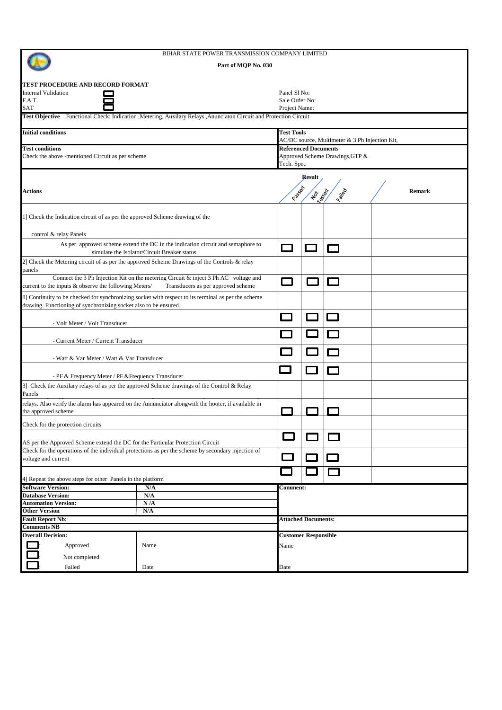|                                                                                                                           | BIHAR STATE POWER TRANSMISSION COMPANY LIMITED                                                                                  |                   |                                     |                                                |               |
|---------------------------------------------------------------------------------------------------------------------------|---------------------------------------------------------------------------------------------------------------------------------|-------------------|-------------------------------------|------------------------------------------------|---------------|
|                                                                                                                           | Part of MQP No. 030                                                                                                             |                   |                                     |                                                |               |
| TEST PROCEDURE AND RECORD FORMAT                                                                                          |                                                                                                                                 |                   |                                     |                                                |               |
| Internal Validation                                                                                                       |                                                                                                                                 | Panel Sl No:      |                                     |                                                |               |
| F.A.T                                                                                                                     |                                                                                                                                 | Sale Order No:    |                                     |                                                |               |
| SAT                                                                                                                       |                                                                                                                                 | Project Name:     |                                     |                                                |               |
|                                                                                                                           | Test Objective Functional Check: Indication , Metering, Auxilary Relays , Anunciaton Circuit and Protection Circuit             |                   |                                     |                                                |               |
| <b>Initial conditions</b>                                                                                                 |                                                                                                                                 | <b>Test Tools</b> |                                     | AC/DC source, Multimeter & 3 Ph Injection Kit, |               |
| <b>Test conditions</b>                                                                                                    |                                                                                                                                 |                   | <b>Referenced Documents</b>         |                                                |               |
| Check the above -mentioned Circuit as per scheme                                                                          |                                                                                                                                 | Tech. Spec        |                                     | Approved Scheme Drawings, GTP &                |               |
| Actions                                                                                                                   |                                                                                                                                 | Passaga           | <b>Result</b><br><b>Lender Reps</b> | Irailea                                        | <b>Remark</b> |
|                                                                                                                           |                                                                                                                                 |                   |                                     |                                                |               |
| 1] Check the Indication circuit of as per the approved Scheme drawing of the                                              |                                                                                                                                 |                   |                                     |                                                |               |
| control & relay Panels                                                                                                    |                                                                                                                                 |                   |                                     |                                                |               |
|                                                                                                                           | As per approved scheme extend the DC in the indication circuit and semaphore to<br>simulate the Isolator/Circuit Breaker status |                   |                                     |                                                |               |
| panels                                                                                                                    | 2] Check the Metering circuit of as per the approved Scheme Drawings of the Controls & relay                                    |                   |                                     |                                                |               |
| current to the inputs & observe the following Meters/                                                                     | Connect the 3 Ph Injection Kit on the metering Circuit & inject 3 Ph AC voltage and<br>Transducers as per approved scheme       |                   |                                     |                                                |               |
| drawing. Functioning of synchronizing socket also to be ensured.                                                          | 8] Continuity to be checked for synchronizing socket with respect to its terminal as per the scheme                             |                   |                                     |                                                |               |
| - Volt Meter / Volt Transducer                                                                                            |                                                                                                                                 |                   |                                     |                                                |               |
| - Current Meter / Current Transducer                                                                                      |                                                                                                                                 |                   |                                     |                                                |               |
|                                                                                                                           |                                                                                                                                 |                   |                                     |                                                |               |
| - Watt & Var Meter / Watt & Var Transducer                                                                                |                                                                                                                                 |                   |                                     |                                                |               |
| - PF & Frequency Meter / PF & Frequency Transducer                                                                        |                                                                                                                                 |                   |                                     |                                                |               |
| Panels                                                                                                                    | 3] Check the Auxilary relays of as per the approved Scheme drawings of the Control & Relay                                      |                   |                                     |                                                |               |
| tha approved scheme                                                                                                       | relays. Also verify the alarm has appeared on the Annunciator alongwith the hooter, if available in                             |                   |                                     |                                                |               |
| Check for the protection circuits                                                                                         |                                                                                                                                 |                   |                                     |                                                |               |
| AS per the Approved Scheme extend the DC for the Particular Protection Circuit                                            |                                                                                                                                 |                   |                                     |                                                |               |
| Check for the operations of the individual protections as per the scheme by secondary injection of<br>voltage and current |                                                                                                                                 |                   |                                     |                                                |               |
| 4] Repeat the above steps for other Panels in the platform                                                                |                                                                                                                                 |                   |                                     |                                                |               |
| <b>Software Version:</b>                                                                                                  | N/A                                                                                                                             | Comment:          |                                     |                                                |               |
| <b>Database Version:</b>                                                                                                  | N/A                                                                                                                             |                   |                                     |                                                |               |
| <b>Automation Version:</b>                                                                                                | N/A                                                                                                                             |                   |                                     |                                                |               |
| <b>Other Version</b>                                                                                                      | N/A                                                                                                                             |                   |                                     |                                                |               |
| <b>Fault Report Nb:</b>                                                                                                   |                                                                                                                                 |                   | <b>Attached Documents:</b>          |                                                |               |
| <b>Comments NB</b>                                                                                                        |                                                                                                                                 |                   |                                     |                                                |               |
| <b>Overall Decision:</b>                                                                                                  |                                                                                                                                 |                   | <b>Customer Responsible</b>         |                                                |               |
| Approved                                                                                                                  | Name                                                                                                                            | Name              |                                     |                                                |               |
| Not completed                                                                                                             |                                                                                                                                 |                   |                                     |                                                |               |
|                                                                                                                           |                                                                                                                                 |                   |                                     |                                                |               |
| Failed                                                                                                                    | Date                                                                                                                            | Date              |                                     |                                                |               |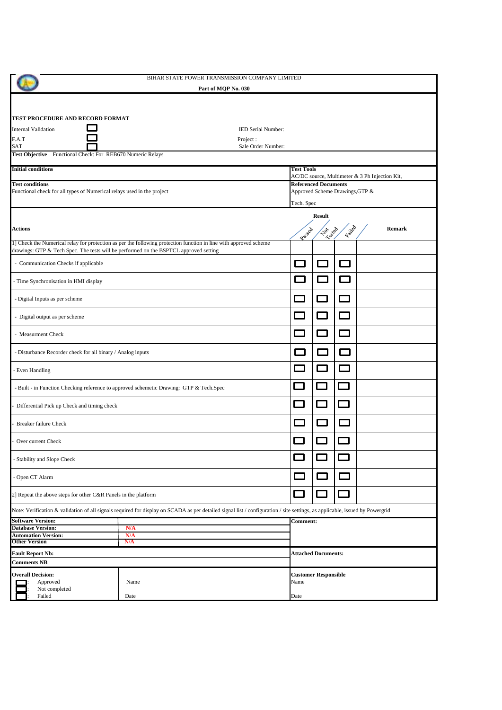| BIHAR STATE POWER TRANSMISSION COMPANY LIMITED                                                                                |                                                                                                                                                                              |                 |                            |                                                                |        |                                                |        |  |
|-------------------------------------------------------------------------------------------------------------------------------|------------------------------------------------------------------------------------------------------------------------------------------------------------------------------|-----------------|----------------------------|----------------------------------------------------------------|--------|------------------------------------------------|--------|--|
|                                                                                                                               | Part of MQP No. 030                                                                                                                                                          |                 |                            |                                                                |        |                                                |        |  |
| TEST PROCEDURE AND RECORD FORMAT<br><b>Internal Validation</b><br>F.A.T<br>SAT                                                | IED Serial Number:<br>Project:<br>Sale Order Number:                                                                                                                         |                 |                            |                                                                |        |                                                |        |  |
| Test Objective Functional Check: For REB670 Numeric Relays                                                                    |                                                                                                                                                                              |                 |                            |                                                                |        |                                                |        |  |
| <b>Initial conditions</b><br><b>Test conditions</b><br>Functional check for all types of Numerical relays used in the project |                                                                                                                                                                              |                 | <b>Test Tools</b>          | <b>Referenced Documents</b><br>Approved Scheme Drawings, GTP & |        | AC/DC source, Multimeter & 3 Ph Injection Kit, |        |  |
|                                                                                                                               |                                                                                                                                                                              |                 | Tech. Spec                 |                                                                |        |                                                |        |  |
| Actions                                                                                                                       |                                                                                                                                                                              |                 | Passa                      | <b>Result</b><br>Harab                                         | Faired |                                                | Remark |  |
| drawings: GTP & Tech Spec. The tests will be performed on the BSPTCL approved setting                                         | 1] Check the Numerical relay for protection as per the following protection function in line with approved scheme                                                            |                 |                            |                                                                |        |                                                |        |  |
| - Communication Checks if applicable                                                                                          |                                                                                                                                                                              |                 |                            |                                                                |        |                                                |        |  |
| Time Synchronisation in HMI display                                                                                           |                                                                                                                                                                              |                 |                            |                                                                |        |                                                |        |  |
| - Digital Inputs as per scheme                                                                                                |                                                                                                                                                                              |                 |                            |                                                                |        |                                                |        |  |
| - Digital output as per scheme                                                                                                |                                                                                                                                                                              |                 |                            |                                                                |        |                                                |        |  |
| - Measurment Check                                                                                                            |                                                                                                                                                                              |                 | $\sim$                     |                                                                |        |                                                |        |  |
| - Disturbance Recorder check for all binary / Analog inputs                                                                   |                                                                                                                                                                              |                 |                            |                                                                |        |                                                |        |  |
| Even Handling                                                                                                                 |                                                                                                                                                                              |                 |                            |                                                                |        |                                                |        |  |
|                                                                                                                               | Built - in Function Checking reference to approved schemetic Drawing: GTP & Tech.Spec                                                                                        |                 |                            |                                                                |        |                                                |        |  |
| Differential Pick up Check and timing check                                                                                   |                                                                                                                                                                              |                 |                            |                                                                |        |                                                |        |  |
| <b>Breaker failure Check</b>                                                                                                  |                                                                                                                                                                              |                 |                            |                                                                |        |                                                |        |  |
| Over current Check                                                                                                            |                                                                                                                                                                              |                 |                            |                                                                |        |                                                |        |  |
| Stability and Slope Check                                                                                                     |                                                                                                                                                                              |                 |                            | $\sim$                                                         |        |                                                |        |  |
| Open CT Alarm                                                                                                                 |                                                                                                                                                                              |                 | $\mathcal{L}(\mathcal{A})$ |                                                                | $\sim$ |                                                |        |  |
| 2] Repeat the above steps for other C&R Panels in the platform                                                                |                                                                                                                                                                              | <b>Contract</b> |                            | $\sim$                                                         |        |                                                |        |  |
|                                                                                                                               | Note: Verification & validation of all signals required for display on SCADA as per detailed signal list / configuration / site settings, as applicable, issued by Powergrid |                 |                            |                                                                |        |                                                |        |  |
| <b>Software Version:</b>                                                                                                      |                                                                                                                                                                              |                 | Comment:                   |                                                                |        |                                                |        |  |
| <b>Database Version:</b><br><b>Automation Version:</b>                                                                        | N/A<br>N/A                                                                                                                                                                   |                 |                            |                                                                |        |                                                |        |  |
| Other Version                                                                                                                 | N/A                                                                                                                                                                          |                 |                            |                                                                |        |                                                |        |  |
| <b>Fault Report Nb:</b>                                                                                                       |                                                                                                                                                                              |                 |                            | <b>Attached Documents:</b>                                     |        |                                                |        |  |
| <b>Comments NB</b>                                                                                                            |                                                                                                                                                                              |                 |                            |                                                                |        |                                                |        |  |
| <b>Overall Decision:</b><br>Approved<br>Not completed                                                                         | Name                                                                                                                                                                         | Name            |                            | <b>Customer Responsible</b>                                    |        |                                                |        |  |
| Failed                                                                                                                        | Date                                                                                                                                                                         | Date            |                            |                                                                |        |                                                |        |  |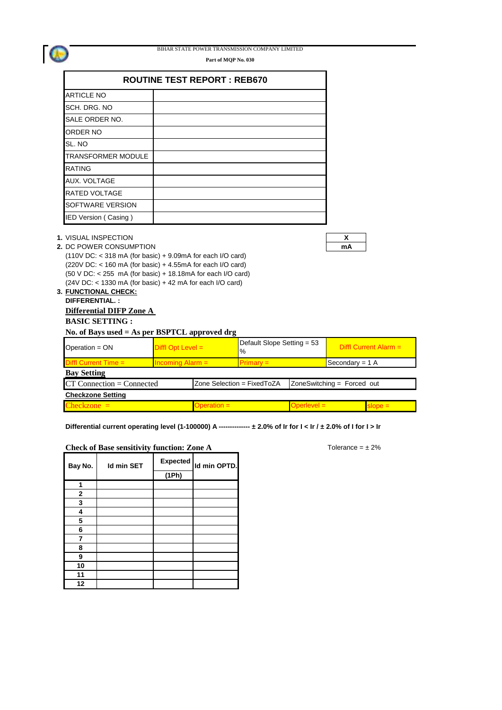

**Part of MQP No. 030**

|                                                                                                                              | <b>ROUTINE TEST REPORT: REB670</b>                                                                                                                                                                                                                                           |         |
|------------------------------------------------------------------------------------------------------------------------------|------------------------------------------------------------------------------------------------------------------------------------------------------------------------------------------------------------------------------------------------------------------------------|---------|
| <b>ARTICLE NO</b>                                                                                                            |                                                                                                                                                                                                                                                                              |         |
| SCH. DRG. NO                                                                                                                 |                                                                                                                                                                                                                                                                              |         |
| SALE ORDER NO.                                                                                                               |                                                                                                                                                                                                                                                                              |         |
| ORDER NO                                                                                                                     |                                                                                                                                                                                                                                                                              |         |
| SL. NO                                                                                                                       |                                                                                                                                                                                                                                                                              |         |
| <b>TRANSFORMER MODULE</b>                                                                                                    |                                                                                                                                                                                                                                                                              |         |
| <b>RATING</b>                                                                                                                |                                                                                                                                                                                                                                                                              |         |
| <b>AUX. VOLTAGE</b>                                                                                                          |                                                                                                                                                                                                                                                                              |         |
| <b>RATED VOLTAGE</b>                                                                                                         |                                                                                                                                                                                                                                                                              |         |
| SOFTWARE VERSION                                                                                                             |                                                                                                                                                                                                                                                                              |         |
| IED Version (Casing)                                                                                                         |                                                                                                                                                                                                                                                                              |         |
| 1. VISUAL INSPECTION<br>2. DC POWER CONSUMPTION<br><b>3. FUNCTIONAL CHECK:</b><br>DIFFERENTIAL.:<br>Differential DIFP Zone A | $(110V)$ DC: < 318 mA (for basic) + 9.09mA for each I/O card)<br>$(220V)$ DC: < 160 mA (for basic) + 4.55mA for each I/O card)<br>$(50 \text{ V DC:} < 255 \text{ mA}$ (for basic) + 18.18mA for each I/O card)<br>(24V DC: < 1330 mA (for basic) + 42 mA for each I/O card) | X<br>mA |
| <b>BASIC SETTING:</b>                                                                                                        |                                                                                                                                                                                                                                                                              |         |

**No. of Bays used = As per BSPTCL approved drg**

| Operation = $ON$                         | Diffl Opt Level $=$  |                            | Default Slope Setting = 53<br>$\frac{10}{6}$ |  | Diffl Current Alarm $=$    |  |  |  |                           |  |
|------------------------------------------|----------------------|----------------------------|----------------------------------------------|--|----------------------------|--|--|--|---------------------------|--|
| <b>Diffl Current Time <math>=</math></b> | $Incomina$ Alarm $=$ |                            | $Primarv =$                                  |  |                            |  |  |  | Secondary = $1 \text{ A}$ |  |
| <b>Bay Setting</b>                       |                      |                            |                                              |  |                            |  |  |  |                           |  |
| $CT$ Connection = Connected              |                      | Zone Selection = FixedToZA |                                              |  | ZoneSwitching = Forced out |  |  |  |                           |  |
| <b>Checkzone Setting</b>                 |                      |                            |                                              |  |                            |  |  |  |                           |  |
| $D$ eration $=$                          |                      |                            | <b>Operlevel =</b>                           |  | slope =                    |  |  |  |                           |  |

**Differential current operating level (1-100000) A -------------- ± 2.0% of Ir for I < Ir / ± 2.0% of I for I > Ir**

### **Check of Base sensitivity function: Zone A** Tolerance =  $\pm 2\%$

| Bay No.      | <b>Id min SET</b> | <b>Expected</b><br>(1Ph) | Id min OPTD. |
|--------------|-------------------|--------------------------|--------------|
| 1            |                   |                          |              |
| $\mathbf{2}$ |                   |                          |              |
| $\mathbf{3}$ |                   |                          |              |
| 4            |                   |                          |              |
| 5            |                   |                          |              |
| 6            |                   |                          |              |
| 7            |                   |                          |              |
| 8            |                   |                          |              |
| 9            |                   |                          |              |
| 10           |                   |                          |              |
| 11           |                   |                          |              |
| 12           |                   |                          |              |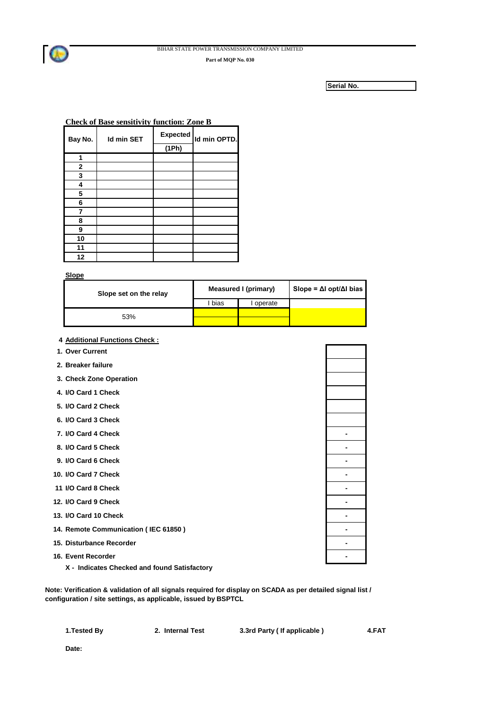**Part of MQP No. 030**

**Serial No.**

| Bay No.      | <b>Id min SET</b> | <b>Expected</b><br>(1Ph) | Id min OPTD. |
|--------------|-------------------|--------------------------|--------------|
|              |                   |                          |              |
| 1            |                   |                          |              |
| $\mathbf{2}$ |                   |                          |              |
| 3            |                   |                          |              |
| 4            |                   |                          |              |
| 5            |                   |                          |              |
| 6            |                   |                          |              |
| 7            |                   |                          |              |
| 8            |                   |                          |              |
| 9            |                   |                          |              |
| 10           |                   |                          |              |
| 11           |                   |                          |              |
| 12           |                   |                          |              |

# **Check of Base sensitivity function: Zone B**

### **Slope**

 $\mathbf{G}$ 

| Slope set on the relay |      | Measured I (primary) | $Slope = \Delta I opt/\Delta I bias$ |
|------------------------|------|----------------------|--------------------------------------|
|                        | bias | operate              |                                      |
| 53%                    |      |                      |                                      |
|                        |      |                      |                                      |

**4 Additional Functions Check :**

| 1. Over Current                      |  |
|--------------------------------------|--|
| 2. Breaker failure                   |  |
| 3. Check Zone Operation              |  |
| 4. I/O Card 1 Check                  |  |
| 5. I/O Card 2 Check                  |  |
| 6. I/O Card 3 Check                  |  |
| 7. I/O Card 4 Check                  |  |
| 8. I/O Card 5 Check                  |  |
| 9. I/O Card 6 Check                  |  |
| 10. I/O Card 7 Check                 |  |
| 11 I/O Card 8 Check                  |  |
| 12. I/O Card 9 Check                 |  |
| 13. I/O Card 10 Check                |  |
| 14. Remote Communication (IEC 61850) |  |
| 15. Disturbance Recorder             |  |
| 16. Event Recorder                   |  |
|                                      |  |

**X - Indicates Checked and found Satisfactory**

**Note: Verification & validation of all signals required for display on SCADA as per detailed signal list / configuration / site settings, as applicable, issued by BSPTCL**

**1.Tested By 2. Internal Test 3.3rd Party ( If applicable ) 4.FAT**

**Date:**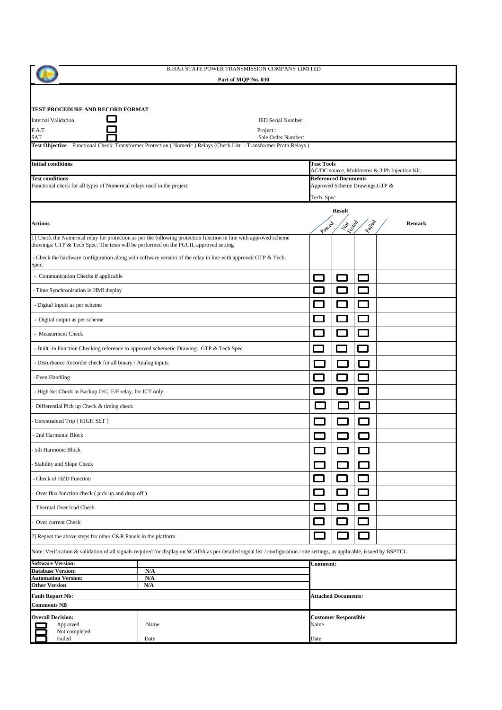|                                                                                      |                                                                                                                                                                           | BIHAR STATE POWER TRANSMISSION COMPANY LIMITED |                                 |                          |                                                |
|--------------------------------------------------------------------------------------|---------------------------------------------------------------------------------------------------------------------------------------------------------------------------|------------------------------------------------|---------------------------------|--------------------------|------------------------------------------------|
|                                                                                      | Part of MQP No. 030                                                                                                                                                       |                                                |                                 |                          |                                                |
|                                                                                      |                                                                                                                                                                           |                                                |                                 |                          |                                                |
| TEST PROCEDURE AND RECORD FORMAT                                                     |                                                                                                                                                                           |                                                |                                 |                          |                                                |
| <b>Internal Validation</b>                                                           | IED Serial Number:                                                                                                                                                        |                                                |                                 |                          |                                                |
| F.A.T                                                                                | Project:                                                                                                                                                                  |                                                |                                 |                          |                                                |
| SAT                                                                                  | Sale Order Number:                                                                                                                                                        |                                                |                                 |                          |                                                |
|                                                                                      | Test Objective Functional Check: Transformer Protection (Numeric) Relays (Check List: - Transformer Protn Relays)                                                         |                                                |                                 |                          |                                                |
| <b>Initial conditions</b>                                                            |                                                                                                                                                                           | <b>Test Tools</b>                              |                                 |                          |                                                |
| <b>Test conditions</b>                                                               |                                                                                                                                                                           |                                                | <b>Referenced Documents</b>     |                          | AC/DC source, Multimeter & 3 Ph Injection Kit, |
| Functional check for all types of Numerical relays used in the project               |                                                                                                                                                                           |                                                | Approved Scheme Drawings, GTP & |                          |                                                |
|                                                                                      |                                                                                                                                                                           | Tech. Spec                                     |                                 |                          |                                                |
|                                                                                      |                                                                                                                                                                           |                                                | <b>Result</b>                   |                          |                                                |
| <b>Actions</b>                                                                       |                                                                                                                                                                           |                                                |                                 |                          | <b>Remark</b>                                  |
|                                                                                      |                                                                                                                                                                           | Passed                                         | La teach                        | Lenderd                  |                                                |
| drawings: GTP & Tech Spec. The tests will be performed on the PGCIL approved setting | 1] Check the Numerical relay for protection as per the following protection function in line with approved scheme                                                         |                                                |                                 |                          |                                                |
| Spec.                                                                                | - Check the hardware configuration along with software version of the relay in line with approved GTP $&$ Tech.                                                           |                                                |                                 |                          |                                                |
| - Communication Checks if applicable                                                 |                                                                                                                                                                           |                                                |                                 |                          |                                                |
| Time Synchronisation in HMI display                                                  |                                                                                                                                                                           |                                                |                                 |                          |                                                |
| - Digital Inputs as per scheme                                                       |                                                                                                                                                                           |                                                |                                 |                          |                                                |
| - Digital output as per scheme                                                       |                                                                                                                                                                           |                                                |                                 |                          |                                                |
| - Measurment Check                                                                   |                                                                                                                                                                           |                                                |                                 |                          |                                                |
|                                                                                      | - Built -in Function Checking reference to approved schemetic Drawing: GTP & Tech.Spec                                                                                    |                                                |                                 |                          |                                                |
| - Disturbance Recorder check for all binary / Analog inputs                          |                                                                                                                                                                           |                                                |                                 |                          |                                                |
| Even Handling                                                                        |                                                                                                                                                                           |                                                |                                 |                          |                                                |
| - High Set Check in Backup O/C, E/F relay, for ICT only                              |                                                                                                                                                                           |                                                |                                 |                          |                                                |
| Differential Pick up Check & timing check                                            |                                                                                                                                                                           |                                                | $\mathcal{L}(\mathcal{A})$      | $\overline{\phantom{0}}$ |                                                |
| Unrestrained Trip (HIGH SET)                                                         |                                                                                                                                                                           |                                                |                                 |                          |                                                |
| 2nd Harmonic Block                                                                   |                                                                                                                                                                           |                                                |                                 |                          |                                                |
| 5th Harmonic Block                                                                   |                                                                                                                                                                           |                                                |                                 |                          |                                                |
| Stability and Slope Check                                                            |                                                                                                                                                                           |                                                |                                 |                          |                                                |
| Check of HZD Function                                                                |                                                                                                                                                                           |                                                | $\sim$                          | $\sim$                   |                                                |
| Over flux function check (pick up and drop off)                                      |                                                                                                                                                                           |                                                |                                 |                          |                                                |
| Thermal Over load Check                                                              |                                                                                                                                                                           |                                                |                                 |                          |                                                |
| Over current Check                                                                   |                                                                                                                                                                           |                                                |                                 |                          |                                                |
| 2] Repeat the above steps for other C&R Panels in the platform                       |                                                                                                                                                                           |                                                |                                 |                          |                                                |
|                                                                                      | Note: Verification & validation of all signals required for display on SCADA as per detailed signal list / configuration / site settings, as applicable, issued by BSPTCL |                                                |                                 |                          |                                                |
| <b>Software Version:</b><br><b>Database Version:</b>                                 | N/A                                                                                                                                                                       | Comment:                                       |                                 |                          |                                                |
| <b>Automation Version:</b>                                                           | N/A                                                                                                                                                                       |                                                |                                 |                          |                                                |
| <b>Other Version</b>                                                                 | N/A                                                                                                                                                                       |                                                |                                 |                          |                                                |
| <b>Fault Report Nb:</b>                                                              |                                                                                                                                                                           |                                                | <b>Attached Documents:</b>      |                          |                                                |
| <b>Comments NB</b>                                                                   |                                                                                                                                                                           |                                                |                                 |                          |                                                |
| <b>Overall Decision:</b><br>Approved<br>Not completed                                | Name                                                                                                                                                                      | Name                                           | <b>Customer Responsible</b>     |                          |                                                |
| Failed                                                                               | Date                                                                                                                                                                      | Date                                           |                                 |                          |                                                |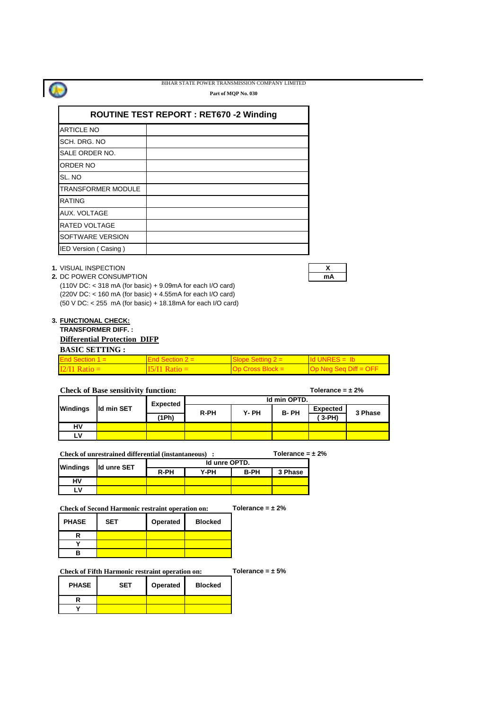**Part of MQP No. 030**

| <b>ROUTINE TEST REPORT: RET670 -2 Winding</b> |  |  |  |  |
|-----------------------------------------------|--|--|--|--|
| <b>ARTICLE NO</b>                             |  |  |  |  |
| SCH. DRG. NO                                  |  |  |  |  |
| <b>SALE ORDER NO.</b>                         |  |  |  |  |
| <b>ORDER NO</b>                               |  |  |  |  |
| SL. NO                                        |  |  |  |  |
| <b>TRANSFORMER MODULE</b>                     |  |  |  |  |
| <b>RATING</b>                                 |  |  |  |  |
| <b>AUX. VOLTAGE</b>                           |  |  |  |  |
| <b>RATED VOLTAGE</b>                          |  |  |  |  |
| <b>SOFTWARE VERSION</b>                       |  |  |  |  |
| IED Version (Casing)                          |  |  |  |  |

- **1.** VISUAL INSPECTION **X**
- **2.** DC POWER CONSUMPTION **mA** (110V DC: < 318 mA (for basic) + 9.09mA for each I/O card) (220V DC: < 160 mA (for basic) + 4.55mA for each I/O card) (50 V DC: < 255 mA (for basic) + 18.18mA for each I/O card)

### **3. FUNCTIONAL CHECK:**

### **TRANSFORMER DIFF. : Differential Protection DIFP**

#### **BASIC SETTING :**

| <b>DADIC DEL LINU.</b> |       |                               |
|------------------------|-------|-------------------------------|
| End Section $1 =$      | / = 1 | $UNRES = ID$                  |
| $12/11$ I              |       | $\rightarrow$ an Diff = Orres |

#### **Check of Base sensitivity function: Tolerance = ± 2%**

|                 |                   | <b>Expected</b> |      |       | Id min OPTD. |                 |         |
|-----------------|-------------------|-----------------|------|-------|--------------|-----------------|---------|
| <b>Windings</b> | <b>Id min SET</b> |                 | R-PH | Y- PH | B-PH         | <b>Expected</b> | 3 Phase |
|                 | (1Ph)             |                 |      |       | 3-PH)        |                 |         |
| HV              |                   |                 |      |       |              |                 |         |
| LV              |                   |                 |      |       |              |                 |         |

**Check of unrestrained differential (instantaneous) : Tolerance = ± 2%**

| <b>Windings</b><br>Ild unre SET |      | <b>Id unre OPTD.</b> |             |         |  |  |
|---------------------------------|------|----------------------|-------------|---------|--|--|
|                                 | R-PH | Y-PH                 | <b>B-PH</b> | 3 Phase |  |  |
| HV                              |      |                      |             |         |  |  |
| ٠v                              |      |                      |             |         |  |  |

**Check of Second Harmonic restraint operation on: Tolerance = ± 2%**

| <b>PHASE</b> | <b>SET</b> | Operated | <b>Blocked</b> |
|--------------|------------|----------|----------------|
|              |            |          |                |
|              |            |          |                |
|              |            |          |                |

**Check of Fifth Harmonic restraint operation on: Tolerance = ± 5%**

| <b>PHASE</b> | SEL. | Operated | <b>Blocked</b> |
|--------------|------|----------|----------------|
|              |      |          |                |
|              |      |          |                |

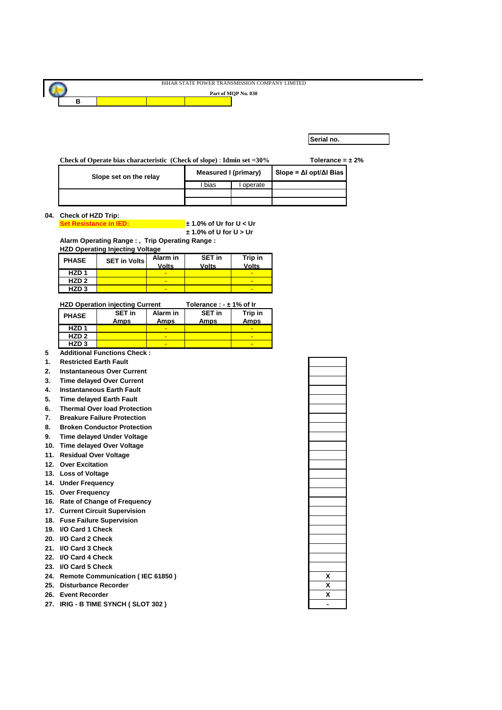

**Serial no.**

 $Tolerance = ±2%$ 

| Check of Operate bias characteristic (Check of slope) : Idmin set $=30\%$ |  |
|---------------------------------------------------------------------------|--|
|---------------------------------------------------------------------------|--|

| Slope set on the relay | Measured I (primary) |           | $Slope = \Delta I opt/\Delta I Bias$ |
|------------------------|----------------------|-----------|--------------------------------------|
|                        | I bias               | I operate |                                      |
|                        |                      |           |                                      |
|                        |                      |           |                                      |

**04. Check of HZD Trip:** 

**Set Resistance in IED:**  $\qquad 1.0\%$  of Ur for U < Ur

**± 1.0% of U for U > Ur**

**Alarm Operating Range : , Trip Operating Range :** 

|  | <b>HZD Operating Injecting Voltage</b> |  |
|--|----------------------------------------|--|
|  |                                        |  |
|  |                                        |  |

| <b>PHASE</b>     | <b>SET in Volts</b> | Alarm in<br><b>Volts</b> | <b>SET in</b><br>Volts | Trip in<br><b>Volts</b> |
|------------------|---------------------|--------------------------|------------------------|-------------------------|
| HZD <sub>1</sub> |                     |                          |                        | -                       |
| HZD <sub>2</sub> |                     |                          |                        | -                       |
| HZD <sub>3</sub> |                     | $\overline{\phantom{0}}$ |                        | -                       |
|                  |                     |                          |                        |                         |

#### **HZD Operation injecting Current Tolerance : - ± 1% of Ir**

| <b>PHASE</b>     | <b>SET in</b> | Alarm in | <b>SET in</b> | Trip in                  |
|------------------|---------------|----------|---------------|--------------------------|
|                  | Amps          | Amps     | Amps          | Amps                     |
| HZD <sub>1</sub> |               |          |               | -                        |
| HZD <sub>2</sub> |               |          |               | $\overline{\phantom{a}}$ |
| HZD <sub>3</sub> |               |          |               | $\blacksquare$           |
|                  |               |          |               |                          |

- **5 Additional Functions Check :**
- **1. Restricted Earth Fault**
- **2. Instantaneous Over Current**
- **3. Time delayed Over Current**
- **4. Instantaneous Earth Fault**
- **5. Time delayed Earth Fault**
- **6. Thermal Over load Protection**
- **7. Breakure Failure Protection**
- **8. Broken Conductor Protection**
- **9. Time delayed Under Voltage**
- **10. Time delayed Over Voltage**
- **11. Residual Over Voltage**
- **12. Over Excitation**
- **13. Loss of Voltage**
- **14. Under Frequency**
- **15. Over Frequency**
- **16. Rate of Change of Frequency**
- **17. Current Circuit Supervision**
- **18. Fuse Failure Supervision**
- **19. I/O Card 1 Check**
- **20. I/O Card 2 Check**
- **21. I/O Card 3 Check**
- **22. I/O Card 4 Check**
- **23. I/O Card 5 Check**
- 24. Remote Communication (IEC 61850)
- **25. Disturbance Recorder X**
- 
- 26. Event Recorder<br>27. IRIG B TIME SYNCH ( SLOT 302 ) **27. IRIG - B TIME SYNCH ( SLOT 302 ) -**

| $\frac{x}{x}$ |
|---------------|
|               |
|               |
|               |
|               |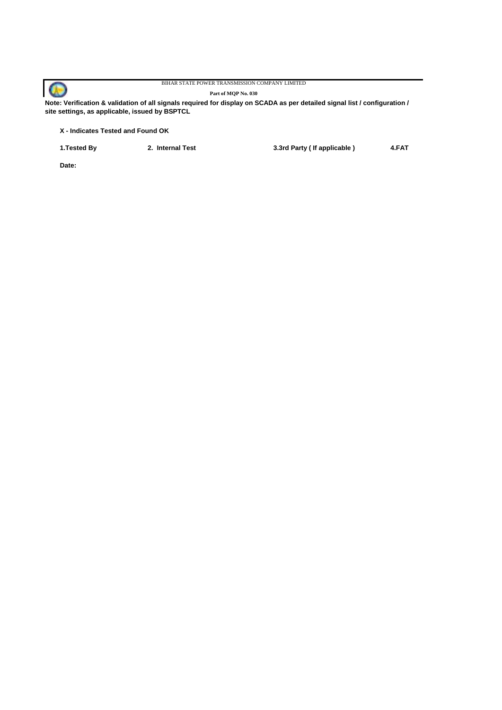

**Part of MQP No. 030**

**Note: Verification & validation of all signals required for display on SCADA as per detailed signal list / configuration / site settings, as applicable, issued by BSPTCL**

**X - Indicates Tested and Found OK**

**1.Tested By 2. Internal Test 3.3rd Party ( If applicable ) 4.FAT**

**Date:**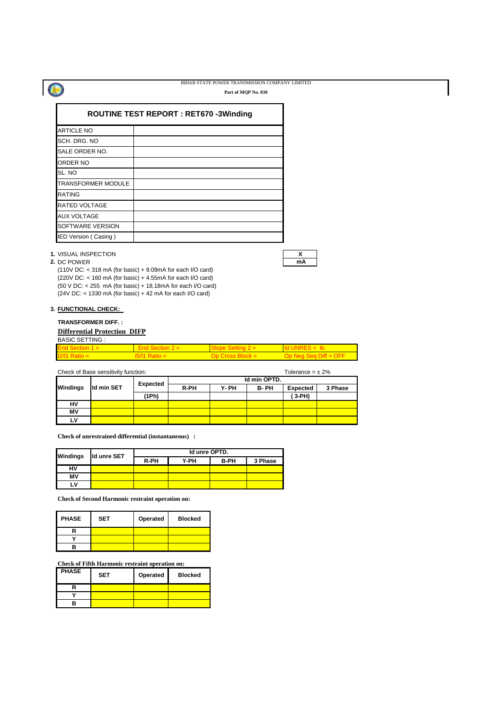**Part of MQP No. 030**

| <b>ROUTINE TEST REPORT: RET670 -3Winding</b> |  |  |  |
|----------------------------------------------|--|--|--|
| <b>ARTICLE NO</b>                            |  |  |  |
| SCH. DRG. NO                                 |  |  |  |
| SALE ORDER NO.                               |  |  |  |
| <b>ORDER NO</b>                              |  |  |  |
| SL. NO                                       |  |  |  |
| <b>TRANSFORMER MODULE</b>                    |  |  |  |
| <b>RATING</b>                                |  |  |  |
| <b>RATED VOLTAGE</b>                         |  |  |  |
| <b>AUX VOLTAGE</b>                           |  |  |  |
| SOFTWARE VERSION                             |  |  |  |
| IED Version (Casing)                         |  |  |  |

#### **1.** VISUAL INSPECTION **X**

**2.** DC POWER

(110V DC: < 318 mA (for basic) + 9.09mA for each I/O card) (220V DC: < 160 mA (for basic) + 4.55mA for each I/O card) (50 V DC: < 255 mA (for basic) + 18.18mA for each I/O card)  $(24V$  DC: < 1330 mA (for basic) + 42 mA for each I/O card)

#### **3. FUNCTIONAL CHECK:**

**TRANSFORMER DIFF. :**

#### **Differential Protection DIFP**

| <b>BASIC SETTING:</b>   |                                                  |                     |                              |
|-------------------------|--------------------------------------------------|---------------------|------------------------------|
| End Section $1 =$       | <b>End Section 2 = <math>\overline{ }</math></b> | 3lope Setting 2 = 7 | $Id$ UNRES = $Ib$            |
| $ 2/11 \text{ Ratio} =$ |                                                  | 'Jo Cross Block = ' | <b>Do Nea Sea Diff = OFF</b> |

Check of Base sensitivity function:  $\blacksquare$ 

|                               |       | Expected | Id min OPTD. |      |                 |         |  |  |
|-------------------------------|-------|----------|--------------|------|-----------------|---------|--|--|
| <b>Id min SET</b><br>Windings |       | R-PH     | Y- PH        | B-PH | <b>Expected</b> | 3 Phase |  |  |
|                               | (1Ph) |          |              |      | (3-PH)          |         |  |  |
| HV                            |       |          |              |      |                 |         |  |  |
| MV                            |       |          |              |      |                 |         |  |  |
| L٧                            |       |          |              |      |                 |         |  |  |

**Check of unrestrained differential (instantaneous) :** 

| <b>Windings</b> | <b>Id unre SET</b> | Id unre OPTD. |      |      |         |  |  |
|-----------------|--------------------|---------------|------|------|---------|--|--|
|                 |                    | R-PH          | Y-PH | B-PH | 3 Phase |  |  |
| HV              |                    |               |      |      |         |  |  |
| ΜV              |                    |               |      |      |         |  |  |
| _V              |                    |               |      |      |         |  |  |

**Check of Second Harmonic restraint operation on:** 

| <b>PHASE</b> | <b>SET</b> | Operated | <b>Blocked</b> |
|--------------|------------|----------|----------------|
|              |            |          |                |
|              |            |          |                |
|              |            |          |                |

**Check of Fifth Harmonic restraint operation on:** 

| <b>PHASE</b> | <b>SET</b> | Operated | <b>Blocked</b> |
|--------------|------------|----------|----------------|
|              |            |          |                |
|              |            |          |                |
|              |            |          |                |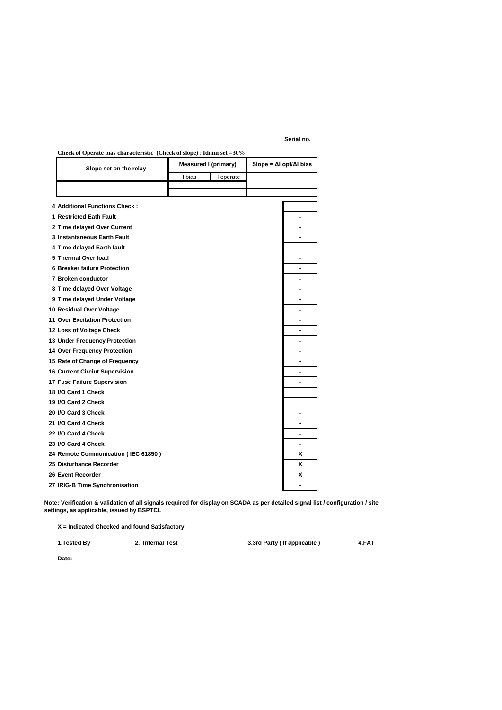**Serial no.**

**Check of Operate bias characteristic (Check of slope)** : **Idmin set =30%**

| <b>Measured I (primary)</b><br>Slope set on the relay |        |           | $Slope = \Delta I opt/\Delta I bias$ |                |  |
|-------------------------------------------------------|--------|-----------|--------------------------------------|----------------|--|
|                                                       | I bias | I operate |                                      |                |  |
|                                                       |        |           |                                      |                |  |
|                                                       |        |           |                                      |                |  |
| 4 Additional Functions Check:                         |        |           |                                      |                |  |
| 1 Restricted Eath Fault                               |        |           |                                      |                |  |
| 2 Time delayed Over Current                           |        |           |                                      |                |  |
| 3 Instantaneous Earth Fault                           |        |           |                                      |                |  |
| 4 Time delayed Earth fault                            |        |           |                                      |                |  |
| 5 Thermal Over load                                   |        |           |                                      |                |  |
| <b>6 Breaker failure Protection</b>                   |        |           |                                      |                |  |
| 7 Broken conductor                                    |        |           |                                      |                |  |
| 8 Time delayed Over Voltage                           |        |           |                                      |                |  |
| 9 Time delayed Under Voltage                          |        |           |                                      | $\blacksquare$ |  |
| 10 Residual Over Voltage                              |        |           |                                      |                |  |
| <b>11 Over Excitation Protection</b>                  |        |           |                                      |                |  |
| 12 Loss of Voltage Check                              |        |           |                                      |                |  |
| 13 Under Frequency Protection                         |        |           |                                      |                |  |
| 14 Over Frequency Protection                          |        |           |                                      |                |  |
| 15 Rate of Change of Frequency                        |        |           |                                      |                |  |
| <b>16 Current Circiut Supervision</b>                 |        |           |                                      |                |  |
| 17 Fuse Failure Supervision                           |        |           |                                      |                |  |
| 18 I/O Card 1 Check                                   |        |           |                                      |                |  |
| 19 I/O Card 2 Check                                   |        |           |                                      |                |  |
| 20 I/O Card 3 Check                                   |        |           |                                      |                |  |
| 21 I/O Card 4 Check                                   |        |           |                                      |                |  |
| 22 I/O Card 4 Check                                   |        |           |                                      |                |  |
| 23 I/O Card 4 Check                                   |        |           |                                      |                |  |
| 24 Remote Communication (IEC 61850)                   |        |           |                                      | х              |  |
| 25 Disturbance Recorder                               |        |           |                                      | х              |  |
| 26 Event Recorder                                     |        |           |                                      | x              |  |
| 27 IRIG-B Time Synchronisation                        |        |           |                                      |                |  |

**Note: Verification & validation of all signals required for display on SCADA as per detailed signal list / configuration / site settings, as applicable, issued by BSPTCL**

**X = Indicated Checked and found Satisfactory**

**1.Tested By 2. Internal Test 3.3rd Party ( If applicable ) 4.FAT**

**Date:**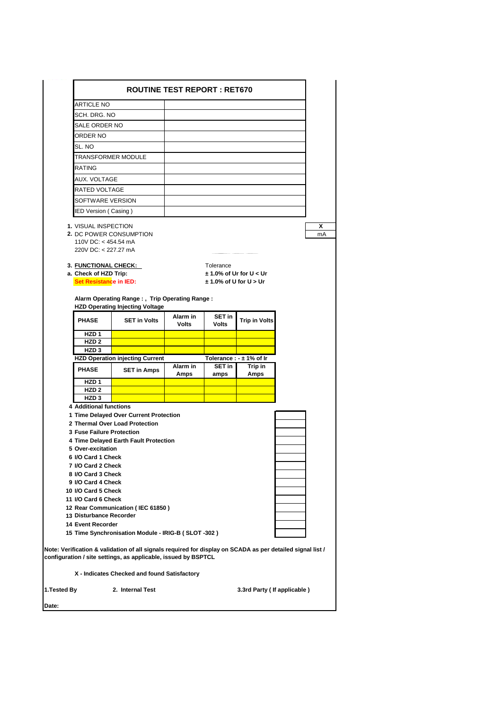|                          |                                          | <b>ROUTINE TEST REPORT: RET670</b>                                                                                                                               |              |                                                                      |                                     |         |
|--------------------------|------------------------------------------|------------------------------------------------------------------------------------------------------------------------------------------------------------------|--------------|----------------------------------------------------------------------|-------------------------------------|---------|
|                          | <b>ARTICLE NO</b>                        |                                                                                                                                                                  |              |                                                                      |                                     |         |
|                          | SCH. DRG. NO                             |                                                                                                                                                                  |              |                                                                      |                                     |         |
|                          |                                          |                                                                                                                                                                  |              |                                                                      |                                     |         |
|                          | SALE ORDER NO                            |                                                                                                                                                                  |              |                                                                      |                                     |         |
|                          | ORDER NO                                 |                                                                                                                                                                  |              |                                                                      |                                     |         |
| SL. NO                   |                                          |                                                                                                                                                                  |              |                                                                      |                                     |         |
|                          |                                          | TRANSFORMER MODULE                                                                                                                                               |              |                                                                      |                                     |         |
| <b>RATING</b>            |                                          |                                                                                                                                                                  |              |                                                                      |                                     |         |
|                          | <b>AUX. VOLTAGE</b>                      |                                                                                                                                                                  |              |                                                                      |                                     |         |
|                          | RATED VOLTAGE                            |                                                                                                                                                                  |              |                                                                      |                                     |         |
|                          |                                          | SOFTWARE VERSION                                                                                                                                                 |              |                                                                      |                                     |         |
|                          | IED Version (Casing)                     |                                                                                                                                                                  |              |                                                                      |                                     |         |
|                          | 1. VISUAL INSPECTION                     | 2. DC POWER CONSUMPTION<br>110V DC: < 454.54 mA<br>220V DC: < 227.27 mA                                                                                          |              |                                                                      |                                     | x<br>mA |
|                          | a. Check of HZD Trip:                    | <b>3. FUNCTIONAL CHECK:</b><br><b>Set Resistance in IED:</b>                                                                                                     |              | Tolerance<br>$± 1.0\%$ of Ur for U < Ur<br>$± 1.0\%$ of U for U > Ur |                                     |         |
|                          |                                          | Alarm Operating Range:, Trip Operating Range:                                                                                                                    |              |                                                                      |                                     |         |
|                          |                                          | <b>HZD Operating Injecting Voltage</b>                                                                                                                           | Alarm in     | <b>SET in</b>                                                        |                                     |         |
| <b>PHASE</b>             |                                          | <b>SET in Volts</b>                                                                                                                                              | <b>Volts</b> | Volts                                                                | <b>Trip in Volts</b>                |         |
|                          | HZD <sub>1</sub>                         |                                                                                                                                                                  |              |                                                                      |                                     |         |
|                          | HZD <sub>2</sub>                         |                                                                                                                                                                  |              |                                                                      |                                     |         |
|                          | HZD <sub>3</sub>                         |                                                                                                                                                                  |              |                                                                      |                                     |         |
|                          |                                          | <b>HZD Operation injecting Current</b>                                                                                                                           | Alarm in     | <b>SET in</b>                                                        | Tolerance: $-1$ 1% of Ir<br>Trip in |         |
| <b>PHASE</b>             |                                          | <b>SET in Amps</b>                                                                                                                                               | Amps         | amps                                                                 | Amps                                |         |
|                          | HZD <sub>1</sub>                         |                                                                                                                                                                  |              |                                                                      |                                     |         |
|                          | HZD <sub>2</sub>                         |                                                                                                                                                                  |              |                                                                      |                                     |         |
|                          | HZD <sub>3</sub>                         |                                                                                                                                                                  |              |                                                                      |                                     |         |
|                          | 4 Additional functions                   |                                                                                                                                                                  |              |                                                                      |                                     |         |
|                          |                                          | 1 Time Delayed Over Current Protection<br>2 Thermal Over Load Protection                                                                                         |              |                                                                      |                                     |         |
|                          |                                          | <b>3 Fuse Failure Protection</b>                                                                                                                                 |              |                                                                      |                                     |         |
|                          |                                          | 4 Time Delayed Earth Fault Protection                                                                                                                            |              |                                                                      |                                     |         |
|                          | 5 Over-excitation                        |                                                                                                                                                                  |              |                                                                      |                                     |         |
|                          | 6 I/O Card 1 Check                       |                                                                                                                                                                  |              |                                                                      |                                     |         |
|                          | 7 I/O Card 2 Check                       |                                                                                                                                                                  |              |                                                                      |                                     |         |
|                          | 8 I/O Card 3 Check<br>9 I/O Card 4 Check |                                                                                                                                                                  |              |                                                                      |                                     |         |
| 10 I/O Card 5 Check      |                                          |                                                                                                                                                                  |              |                                                                      |                                     |         |
| 11 I/O Card 6 Check      |                                          |                                                                                                                                                                  |              |                                                                      |                                     |         |
|                          |                                          | 12 Rear Communication (IEC 61850)                                                                                                                                |              |                                                                      |                                     |         |
|                          |                                          | 13 Disturbance Recorder                                                                                                                                          |              |                                                                      |                                     |         |
| <b>14 Event Recorder</b> |                                          |                                                                                                                                                                  |              |                                                                      |                                     |         |
|                          |                                          | 15 Time Synchronisation Module - IRIG-B (SLOT-302)<br>Note: Verification & validation of all signals required for display on SCADA as per detailed signal list / |              |                                                                      |                                     |         |
|                          |                                          | configuration / site settings, as applicable, issued by BSPTCL                                                                                                   |              |                                                                      |                                     |         |
|                          |                                          | X - Indicates Checked and found Satisfactory                                                                                                                     |              |                                                                      |                                     |         |
| 1.Tested By              |                                          | 2. Internal Test                                                                                                                                                 |              |                                                                      | 3.3rd Party ( If applicable )       |         |
| Date:                    |                                          |                                                                                                                                                                  |              |                                                                      |                                     |         |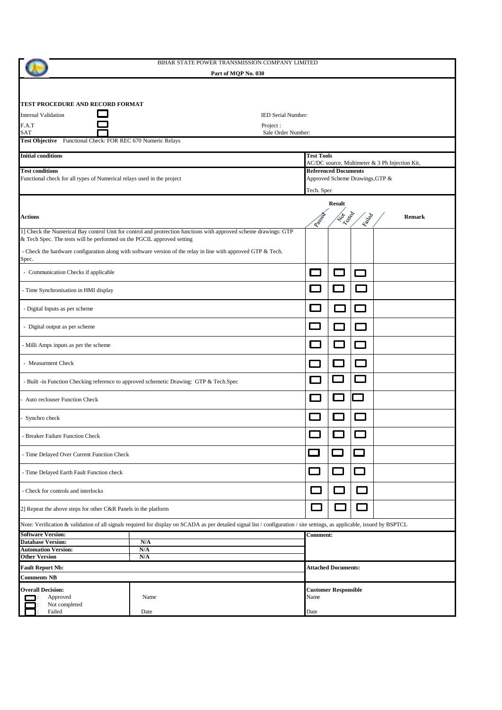|                                                                        | BIHAR STATE POWER TRANSMISSION COMPANY LIMITED                                                                                                                            |                   |                                 |                             |                                                |        |
|------------------------------------------------------------------------|---------------------------------------------------------------------------------------------------------------------------------------------------------------------------|-------------------|---------------------------------|-----------------------------|------------------------------------------------|--------|
|                                                                        | Part of MQP No. 030                                                                                                                                                       |                   |                                 |                             |                                                |        |
|                                                                        |                                                                                                                                                                           |                   |                                 |                             |                                                |        |
| TEST PROCEDURE AND RECORD FORMAT                                       |                                                                                                                                                                           |                   |                                 |                             |                                                |        |
| <b>Internal Validation</b>                                             | IED Serial Number:                                                                                                                                                        |                   |                                 |                             |                                                |        |
| F.A.T                                                                  | Project:                                                                                                                                                                  |                   |                                 |                             |                                                |        |
| <b>SAT</b>                                                             | Sale Order Number:                                                                                                                                                        |                   |                                 |                             |                                                |        |
| Test Objective Functional Check: FOR REC 670 Numeric Relays            |                                                                                                                                                                           |                   |                                 |                             |                                                |        |
| <b>Initial conditions</b>                                              |                                                                                                                                                                           | <b>Test Tools</b> |                                 |                             | AC/DC source, Multimeter & 3 Ph Injection Kit, |        |
| <b>Test conditions</b>                                                 |                                                                                                                                                                           |                   | <b>Referenced Documents</b>     |                             |                                                |        |
| Functional check for all types of Numerical relays used in the project |                                                                                                                                                                           |                   | Approved Scheme Drawings, GTP & |                             |                                                |        |
|                                                                        |                                                                                                                                                                           | Tech. Spec        |                                 |                             |                                                |        |
|                                                                        |                                                                                                                                                                           |                   | <b>Result</b>                   |                             |                                                |        |
| Actions                                                                |                                                                                                                                                                           | Rasse             | <b>Hardward</b>                 | Kailed                      |                                                | Remark |
| & Tech Spec. The tests will be performed on the PGCIL approved setting | 1] Check the Numerical Bay control Unit for control and protrection functions with approved scheme drawings: GTP                                                          |                   |                                 |                             |                                                |        |
| Spec.                                                                  | - Check the hardware configuration along with software version of the relay in line with approved GTP $&$ Tech.                                                           |                   |                                 |                             |                                                |        |
| - Communication Checks if applicable                                   |                                                                                                                                                                           |                   |                                 |                             |                                                |        |
| Time Synchronisation in HMI display                                    |                                                                                                                                                                           |                   |                                 |                             |                                                |        |
| - Digital Inputs as per scheme                                         |                                                                                                                                                                           |                   |                                 | $\sim$                      |                                                |        |
| Digital output as per scheme                                           |                                                                                                                                                                           |                   |                                 |                             |                                                |        |
| Milli Amps inputs as per the scheme                                    |                                                                                                                                                                           |                   |                                 | $\mathcal{L}$               |                                                |        |
| - Measurment Check                                                     |                                                                                                                                                                           | $\sim$            | $\sim$                          | $\mathcal{L}^{\mathcal{L}}$ |                                                |        |
|                                                                        | - Built -in Function Checking reference to approved schemetic Drawing: GTP & Tech.Spec                                                                                    |                   | $\mathcal{L}(\mathcal{A})$      | $\mathcal{L}^{\mathcal{L}}$ |                                                |        |
| <b>Auto reclouser Function Check</b>                                   |                                                                                                                                                                           |                   |                                 |                             |                                                |        |
| Synchro check                                                          |                                                                                                                                                                           |                   |                                 |                             |                                                |        |
| <b>Breaker Failure Function Check</b>                                  |                                                                                                                                                                           |                   |                                 |                             |                                                |        |
| Time Delayed Over Current Function Check                               |                                                                                                                                                                           |                   |                                 |                             |                                                |        |
| Time Delayed Earth Fault Function check                                |                                                                                                                                                                           | $\sim$            |                                 | $\sim$ 1                    |                                                |        |
| Check for controls and interlocks                                      |                                                                                                                                                                           |                   |                                 | $\sim 10$                   |                                                |        |
| 2] Repeat the above steps for other C&R Panels in the platform         |                                                                                                                                                                           |                   |                                 | $\sim 100$                  |                                                |        |
|                                                                        | Note: Verification & validation of all signals required for display on SCADA as per detailed signal list / configuration / site settings, as applicable, issued by BSPTCL |                   |                                 |                             |                                                |        |
| <b>Software Version:</b><br><b>Database Version:</b>                   |                                                                                                                                                                           | Comment:          |                                 |                             |                                                |        |
| <b>Automation Version:</b>                                             | N/A<br>N/A                                                                                                                                                                |                   |                                 |                             |                                                |        |
| <b>Other Version</b>                                                   | N/A                                                                                                                                                                       |                   |                                 |                             |                                                |        |
| <b>Fault Report Nb:</b><br><b>Comments NB</b>                          |                                                                                                                                                                           |                   | <b>Attached Documents:</b>      |                             |                                                |        |
| <b>Overall Decision:</b><br>Approved                                   | Name                                                                                                                                                                      | Name              | <b>Customer Responsible</b>     |                             |                                                |        |
| Not completed<br>Failed                                                | Date                                                                                                                                                                      | Date              |                                 |                             |                                                |        |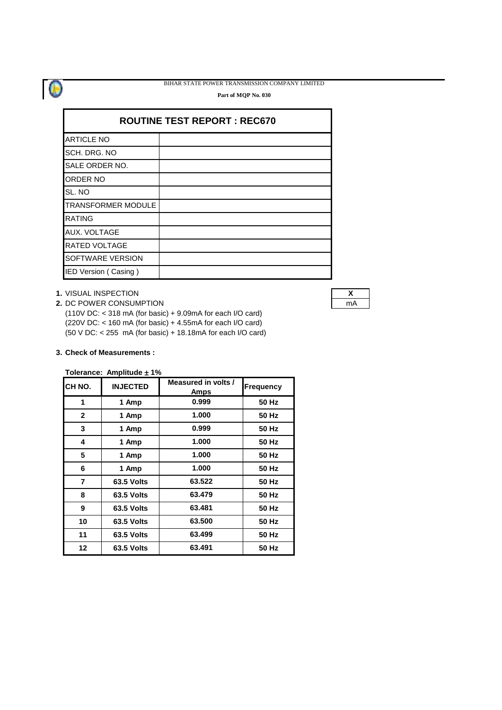**Part of MQP No. 030**

| <b>ROUTINE TEST REPORT: REC670</b> |  |  |  |  |
|------------------------------------|--|--|--|--|
| <b>ARTICLE NO</b>                  |  |  |  |  |
| SCH. DRG. NO                       |  |  |  |  |
| SALE ORDER NO.                     |  |  |  |  |
| <b>ORDER NO</b>                    |  |  |  |  |
| SL. NO                             |  |  |  |  |
| <b>TRANSFORMER MODULE</b>          |  |  |  |  |
| <b>RATING</b>                      |  |  |  |  |
| <b>AUX. VOLTAGE</b>                |  |  |  |  |
| <b>RATED VOLTAGE</b>               |  |  |  |  |
| SOFTWARE VERSION                   |  |  |  |  |
| IED Version (Casing)               |  |  |  |  |

**1.** VISUAL INSPECTION **X**

**2.** DC POWER CONSUMPTION (110V DC: < 318 mA (for basic) + 9.09mA for each I/O card) (220V DC: < 160 mA (for basic) + 4.55mA for each I/O card) (50 V DC: < 255 mA (for basic) + 18.18mA for each I/O card)

### **3. Check of Measurements :**

**Tolerance: Amplitude 1%** 

| CH NO.       | <b>INJECTED</b>   | Measured in volts /<br>Amps | Frequency |
|--------------|-------------------|-----------------------------|-----------|
| 1            | 1 Amp             | 0.999                       | 50 Hz     |
| $\mathbf{2}$ | 1 Amp             | 1.000                       | 50 Hz     |
| 3            | 1 Amp             | 0.999                       | 50 Hz     |
| 4            | 1 Amp             | 1.000                       | 50 Hz     |
| 5            | 1 Amp             | 1.000                       | 50 Hz     |
| 6            | 1 Amp             | 1.000                       | 50 Hz     |
| 7            | <b>63.5 Volts</b> | 63.522                      | 50 Hz     |
| 8            | <b>63.5 Volts</b> | 63.479                      | 50 Hz     |
| 9            | <b>63.5 Volts</b> | 63.481                      | 50 Hz     |
| 10           | <b>63.5 Volts</b> | 63.500                      | 50 Hz     |
| 11           | <b>63.5 Volts</b> | 63.499                      | 50 Hz     |
| 12           | <b>63.5 Volts</b> | 63.491                      | 50 Hz     |

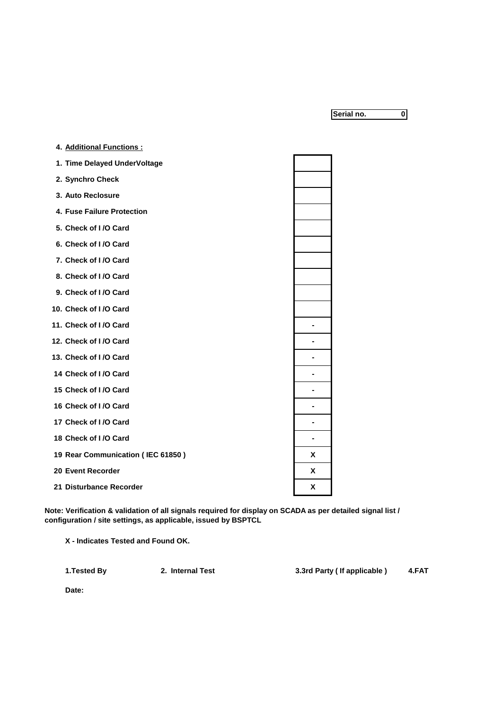**Serial no. 0**

| 4. Additional Functions:          |   |
|-----------------------------------|---|
| 1. Time Delayed UnderVoltage      |   |
| 2. Synchro Check                  |   |
| 3. Auto Reclosure                 |   |
| 4. Fuse Failure Protection        |   |
| 5. Check of I/O Card              |   |
| 6. Check of I/O Card              |   |
| 7. Check of I/O Card              |   |
| 8. Check of I/O Card              |   |
| 9. Check of I/O Card              |   |
| 10. Check of I/O Card             |   |
| 11. Check of I/O Card             |   |
| 12. Check of I/O Card             |   |
| 13. Check of I/O Card             |   |
| 14 Check of I/O Card              |   |
| 15 Check of I/O Card              |   |
| 16 Check of I/O Card              |   |
| 17 Check of I/O Card              |   |
| 18 Check of I/O Card              |   |
| 19 Rear Communication (IEC 61850) | X |
| 20 Event Recorder                 | X |
| 21 Disturbance Recorder           | X |

**Note: Verification & validation of all signals required for display on SCADA as per detailed signal list / configuration / site settings, as applicable, issued by BSPTCL**

**X - Indicates Tested and Found OK.**

**1.Tested By 2. Internal Test 3.3rd Party ( If applicable ) 4.FAT**

**Date:**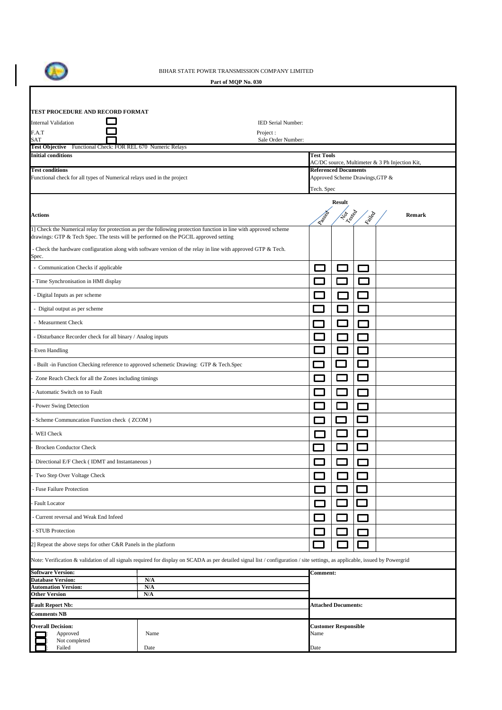

| Part of MQP No. 030                                                                                                                                                                                       |                                                                                                                 |                    |                             |                             |                                 |                                                |               |
|-----------------------------------------------------------------------------------------------------------------------------------------------------------------------------------------------------------|-----------------------------------------------------------------------------------------------------------------|--------------------|-----------------------------|-----------------------------|---------------------------------|------------------------------------------------|---------------|
|                                                                                                                                                                                                           |                                                                                                                 |                    |                             |                             |                                 |                                                |               |
| TEST PROCEDURE AND RECORD FORMAT                                                                                                                                                                          |                                                                                                                 |                    |                             |                             |                                 |                                                |               |
| <b>Internal Validation</b>                                                                                                                                                                                |                                                                                                                 | IED Serial Number: |                             |                             |                                 |                                                |               |
| F.A.T                                                                                                                                                                                                     | Project :                                                                                                       |                    |                             |                             |                                 |                                                |               |
| SAT<br>Test Objective Functional Check: FOR REL 670 Numeric Relays                                                                                                                                        |                                                                                                                 | Sale Order Number: |                             |                             |                                 |                                                |               |
| <b>Initial conditions</b>                                                                                                                                                                                 |                                                                                                                 |                    | <b>Test Tools</b>           |                             |                                 |                                                |               |
| <b>Test conditions</b>                                                                                                                                                                                    |                                                                                                                 |                    | <b>Referenced Documents</b> |                             |                                 | AC/DC source, Multimeter & 3 Ph Injection Kit, |               |
| Functional check for all types of Numerical relays used in the project                                                                                                                                    |                                                                                                                 |                    |                             |                             | Approved Scheme Drawings, GTP & |                                                |               |
|                                                                                                                                                                                                           |                                                                                                                 |                    | Tech. Spec                  |                             |                                 |                                                |               |
|                                                                                                                                                                                                           |                                                                                                                 |                    |                             | <b>Result</b>               |                                 |                                                |               |
| Actions                                                                                                                                                                                                   |                                                                                                                 |                    | Lagged                      | Ligado<br>Ligado            | Leaved                          |                                                | <b>Remark</b> |
| 1] Check the Numerical relay for protection as per the following protection function in line with approved scheme<br>drawings: GTP & Tech Spec. The tests will be performed on the PGCIL approved setting |                                                                                                                 |                    |                             |                             |                                 |                                                |               |
| Spec.                                                                                                                                                                                                     | - Check the hardware configuration along with software version of the relay in line with approved GTP $&$ Tech. |                    |                             |                             |                                 |                                                |               |
| - Communication Checks if applicable                                                                                                                                                                      |                                                                                                                 |                    |                             |                             |                                 |                                                |               |
| - Time Synchronisation in HMI display                                                                                                                                                                     |                                                                                                                 |                    |                             |                             |                                 |                                                |               |
| - Digital Inputs as per scheme                                                                                                                                                                            |                                                                                                                 |                    |                             |                             |                                 |                                                |               |
| - Digital output as per scheme                                                                                                                                                                            |                                                                                                                 |                    |                             |                             |                                 |                                                |               |
| <b>Measurment Check</b>                                                                                                                                                                                   |                                                                                                                 |                    |                             |                             |                                 |                                                |               |
| - Disturbance Recorder check for all binary / Analog inputs                                                                                                                                               |                                                                                                                 |                    |                             |                             |                                 |                                                |               |
| Even Handling                                                                                                                                                                                             |                                                                                                                 |                    |                             | $\mathcal{L}_{\mathcal{A}}$ |                                 |                                                |               |
|                                                                                                                                                                                                           | - Built -in Function Checking reference to approved schemetic Drawing: GTP & Tech.Spec                          |                    |                             |                             |                                 |                                                |               |
| Zone Reach Check for all the Zones including timings                                                                                                                                                      |                                                                                                                 |                    |                             |                             |                                 |                                                |               |
| Automatic Switch on to Fault                                                                                                                                                                              |                                                                                                                 |                    |                             |                             |                                 |                                                |               |
| - Power Swing Detection                                                                                                                                                                                   |                                                                                                                 |                    |                             | $\sim$                      |                                 |                                                |               |
| Scheme Communcation Function check (ZCOM)                                                                                                                                                                 |                                                                                                                 |                    |                             |                             |                                 |                                                |               |
| WEI Check                                                                                                                                                                                                 |                                                                                                                 |                    |                             |                             |                                 |                                                |               |
| <b>Brocken Conductor Check</b>                                                                                                                                                                            |                                                                                                                 |                    |                             |                             |                                 |                                                |               |
| Directional E/F Check (IDMT and Instantaneous)                                                                                                                                                            |                                                                                                                 |                    |                             |                             |                                 |                                                |               |
| Two Step Over Voltage Check                                                                                                                                                                               |                                                                                                                 |                    |                             |                             |                                 |                                                |               |
| Fuse Failure Protection                                                                                                                                                                                   |                                                                                                                 |                    |                             | $\Box$                      | $\sim$                          |                                                |               |
| <b>Fault Locator</b>                                                                                                                                                                                      |                                                                                                                 |                    |                             |                             |                                 |                                                |               |
| Current reversal and Weak End Infeed                                                                                                                                                                      |                                                                                                                 |                    | e e                         | □                           | <b>The State</b>                |                                                |               |
| <b>STUB</b> Protection                                                                                                                                                                                    |                                                                                                                 |                    |                             |                             | $\sim$                          |                                                |               |
| 2] Repeat the above steps for other C&R Panels in the platform                                                                                                                                            |                                                                                                                 |                    |                             |                             |                                 |                                                |               |
| Note: Verification & validation of all signals required for display on SCADA as per detailed signal list / configuration / site settings, as applicable, issued by Powergrid                              |                                                                                                                 |                    |                             |                             |                                 |                                                |               |
| <b>Software Version:</b><br><b>Database Version:</b>                                                                                                                                                      | N/A                                                                                                             |                    | Comment:                    |                             |                                 |                                                |               |
| <b>Automation Version:</b>                                                                                                                                                                                | N/A                                                                                                             |                    |                             |                             |                                 |                                                |               |
| <b>Other Version</b>                                                                                                                                                                                      | N/A                                                                                                             |                    |                             |                             |                                 |                                                |               |
| <b>Fault Report Nb:</b>                                                                                                                                                                                   |                                                                                                                 |                    |                             | <b>Attached Documents:</b>  |                                 |                                                |               |
| <b>Comments NB</b>                                                                                                                                                                                        |                                                                                                                 |                    |                             |                             |                                 |                                                |               |
| <b>Overall Decision:</b><br>Approved<br>Not completed                                                                                                                                                     | Name                                                                                                            |                    | Name                        | <b>Customer Responsible</b> |                                 |                                                |               |
| Failed                                                                                                                                                                                                    | Date                                                                                                            |                    | Date                        |                             |                                 |                                                |               |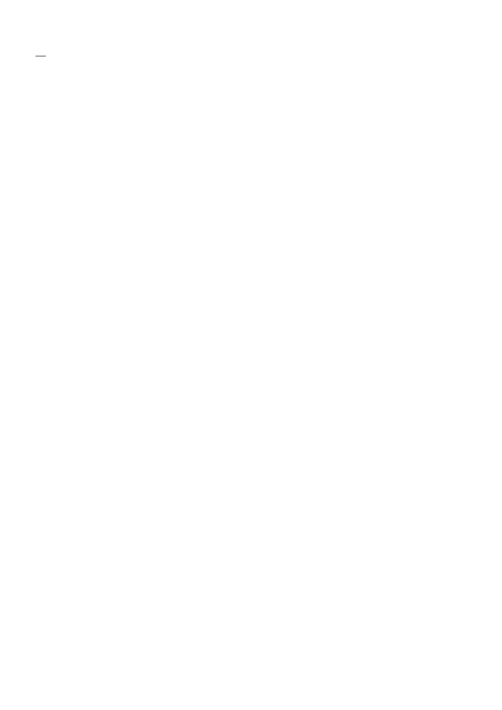$\label{eq:2.1} \frac{1}{\sqrt{2\pi}}\int_{0}^{\infty}\frac{1}{\sqrt{2\pi}}\left(\frac{1}{\sqrt{2\pi}}\right)^{2\alpha} \frac{1}{\sqrt{2\pi}}\int_{0}^{\infty}\frac{1}{\sqrt{2\pi}}\left(\frac{1}{\sqrt{2\pi}}\right)^{\alpha} \frac{1}{\sqrt{2\pi}}\frac{1}{\sqrt{2\pi}}\int_{0}^{\infty}\frac{1}{\sqrt{2\pi}}\frac{1}{\sqrt{2\pi}}\frac{1}{\sqrt{2\pi}}\frac{1}{\sqrt{2\pi}}\frac{1}{\sqrt{2\pi}}\frac{1}{\sqrt{2\$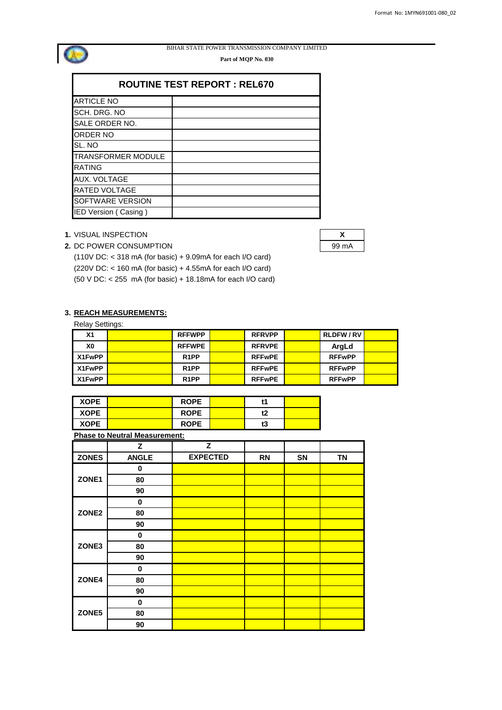

**Part of MQP No. 030**

| <b>ROUTINE TEST REPORT: REL670</b> |  |  |  |  |
|------------------------------------|--|--|--|--|
| <b>ARTICLE NO</b>                  |  |  |  |  |
| SCH. DRG. NO                       |  |  |  |  |
| ISALE ORDER NO.                    |  |  |  |  |
| <b>ORDER NO</b>                    |  |  |  |  |
| ISL. NO                            |  |  |  |  |
| <b>TRANSFORMER MODULE</b>          |  |  |  |  |
| RATING                             |  |  |  |  |
| AUX. VOLTAGE                       |  |  |  |  |
| <b>RATED VOLTAGE</b>               |  |  |  |  |
| <b>SOFTWARE VERSION</b>            |  |  |  |  |
| IED Version (Casing)               |  |  |  |  |

### **1.** VISUAL INSPECTION **X**

- 
- **2.** DC POWER CONSUMPTION

(110V DC: < 318 mA (for basic) + 9.09mA for each I/O card) (220V DC: < 160 mA (for basic) + 4.55mA for each I/O card) (50 V DC: < 255 mA (for basic) + 18.18mA for each I/O card)

### **3. REACH MEASUREMENTS:**

Relay Settings:

| X1     | <b>RFFWPP</b>     | <b>RFRVPP</b> | RLDFW/RV      |  |
|--------|-------------------|---------------|---------------|--|
| X0     | <b>RFFWPE</b>     | <b>RFRVPE</b> | ArgLd         |  |
| X1FwPP | R <sub>1</sub> PP | <b>RFFwPE</b> | <b>RFFwPP</b> |  |
| X1FwPP | R <sub>1</sub> PP | <b>RFFwPE</b> | <b>RFFwPP</b> |  |
| X1FwPP | R <sub>1</sub> PP | <b>RFFwPE</b> | <b>RFFwPP</b> |  |

| <b>XOPE</b> | <b>ROPE</b> | ۲1 |  |
|-------------|-------------|----|--|
| <b>XOPE</b> | <b>ROPE</b> | t2 |  |
| XOPE        | <b>ROPE</b> | t3 |  |

### **Phase to Neutral Measurement:**

|                   | z            | z               |           |    |           |
|-------------------|--------------|-----------------|-----------|----|-----------|
| <b>ZONES</b>      | <b>ANGLE</b> | <b>EXPECTED</b> | <b>RN</b> | SN | <b>TN</b> |
|                   | 0            |                 |           |    |           |
| ZONE1             | 80           |                 |           |    |           |
|                   | 90           |                 |           |    |           |
|                   | 0            |                 |           |    |           |
| ZONE <sub>2</sub> | 80           |                 |           |    |           |
|                   | 90           |                 |           |    |           |
|                   | 0            |                 |           |    |           |
| ZONE3             | 80           |                 |           |    |           |
|                   | 90           |                 |           |    |           |
|                   | 0            |                 |           |    |           |
| ZONE4             | 80           |                 |           |    |           |
|                   | 90           |                 |           |    |           |
|                   | $\bf{0}$     |                 |           |    |           |
| ZONE5             | 80           |                 |           |    |           |
|                   | 90           |                 |           |    |           |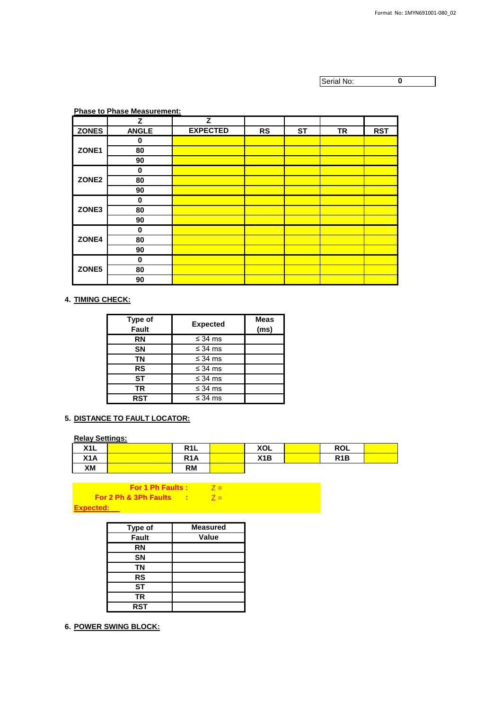Serial No:

**0**

| <b>Phase to Phase Measurement:</b> |                |                 |           |           |           |            |  |
|------------------------------------|----------------|-----------------|-----------|-----------|-----------|------------|--|
|                                    | z              | z               |           |           |           |            |  |
| <b>ZONES</b>                       | <b>ANGLE</b>   | <b>EXPECTED</b> | <b>RS</b> | <b>ST</b> | <b>TR</b> | <b>RST</b> |  |
|                                    | 0              |                 |           |           |           |            |  |
| ZONE1                              | 80             |                 |           |           |           |            |  |
|                                    | 90<br>$\bf{0}$ |                 |           |           |           |            |  |
|                                    |                |                 |           |           |           |            |  |
| ZONE <sub>2</sub>                  | 80             |                 |           |           |           |            |  |
|                                    | 90             |                 |           |           |           |            |  |
|                                    | $\mathbf 0$    |                 |           |           |           |            |  |
| ZONE3                              | 80             |                 |           |           |           |            |  |
|                                    | 90             |                 |           |           |           |            |  |
|                                    | 0              |                 |           |           |           |            |  |
| ZONE4                              | 80             |                 |           |           |           |            |  |
|                                    | 90             |                 |           |           |           |            |  |
|                                    | 0              |                 |           |           |           |            |  |
| ZONE5                              | 80             |                 |           |           |           |            |  |
|                                    | 90             |                 |           |           |           |            |  |

### **4. TIMING CHECK:**

| <b>Type of</b><br><b>Fault</b> | <b>Expected</b> | <b>Meas</b><br>(ms) |
|--------------------------------|-----------------|---------------------|
| <b>RN</b>                      | $\leq 34$ ms    |                     |
| <b>SN</b>                      | $\leq$ 34 ms    |                     |
| ΤN                             | $\leq$ 34 ms    |                     |
| <b>RS</b>                      | $\leq$ 34 ms    |                     |
| ST                             | $\leq$ 34 ms    |                     |
| ΤR                             | $\leq$ 34 ms    |                     |
| <b>RST</b>                     | $\leq$ 34 ms    |                     |

**5. DISTANCE TO FAULT LOCATOR:**

### **Relay Settings:**

| X <sub>1</sub> L | R <sub>1</sub> L | <b>XOL</b>       | <b>ROL</b>       |  |
|------------------|------------------|------------------|------------------|--|
| X1A              | R <sub>1</sub> A | X <sub>1</sub> B | R <sub>1</sub> B |  |
| XM               | RM               |                  |                  |  |

| For 1 Ph Faults : $7 =$     |  |  |
|-----------------------------|--|--|
| For 2 Ph & 3Ph Faults $7 =$ |  |  |
| Expected:                   |  |  |

| Type of      | <b>Measured</b> |
|--------------|-----------------|
| <b>Fault</b> | Value           |
| <b>RN</b>    |                 |
| <b>SN</b>    |                 |
| ΤN           |                 |
| <b>RS</b>    |                 |
| <b>ST</b>    |                 |
| TR           |                 |
| <b>RST</b>   |                 |

**6. POWER SWING BLOCK:**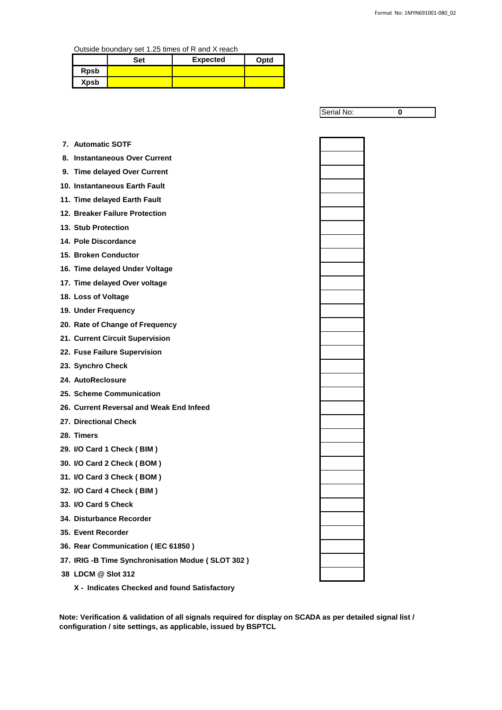### Outside boundary set 1.25 times of R and X reach

|      | <b>Set</b> | <b>Expected</b> | Optd |
|------|------------|-----------------|------|
| Rpsb |            |                 |      |
| Xpsb |            |                 |      |

|                                                   | Serial No: | 0 |
|---------------------------------------------------|------------|---|
|                                                   |            |   |
| 7. Automatic SOTF                                 |            |   |
| 8. Instantaneous Over Current                     |            |   |
| 9. Time delayed Over Current                      |            |   |
| 10. Instantaneous Earth Fault                     |            |   |
| 11. Time delayed Earth Fault                      |            |   |
| 12. Breaker Failure Protection                    |            |   |
| 13. Stub Protection                               |            |   |
| 14. Pole Discordance                              |            |   |
| 15. Broken Conductor                              |            |   |
| 16. Time delayed Under Voltage                    |            |   |
| 17. Time delayed Over voltage                     |            |   |
| 18. Loss of Voltage                               |            |   |
| 19. Under Frequency                               |            |   |
| 20. Rate of Change of Frequency                   |            |   |
| 21. Current Circuit Supervision                   |            |   |
| 22. Fuse Failure Supervision                      |            |   |
| 23. Synchro Check                                 |            |   |
| 24. AutoReclosure                                 |            |   |
| 25. Scheme Communication                          |            |   |
| 26. Current Reversal and Weak End Infeed          |            |   |
| 27. Directional Check                             |            |   |
| 28. Timers                                        |            |   |
| 29. I/O Card 1 Check (BIM)                        |            |   |
| 30. I/O Card 2 Check (BOM)                        |            |   |
| 31. I/O Card 3 Check (BOM)                        |            |   |
| 32. I/O Card 4 Check (BIM)                        |            |   |
| 33. I/O Card 5 Check                              |            |   |
| 34. Disturbance Recorder                          |            |   |
| 35. Event Recorder                                |            |   |
| 36. Rear Communication (IEC 61850)                |            |   |
| 37. IRIG -B Time Synchronisation Modue (SLOT 302) |            |   |
| 38 LDCM @ Slot 312                                |            |   |

**X - Indicates Checked and found Satisfactory**

**Note: Verification & validation of all signals required for display on SCADA as per detailed signal list / configuration / site settings, as applicable, issued by BSPTCL**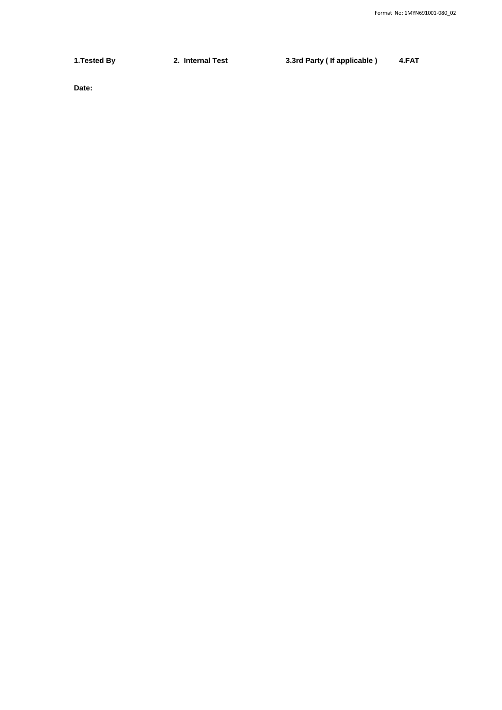**1.Tested By 2. Internal Test 3.3rd Party ( If applicable ) 4.FAT**

**Date:**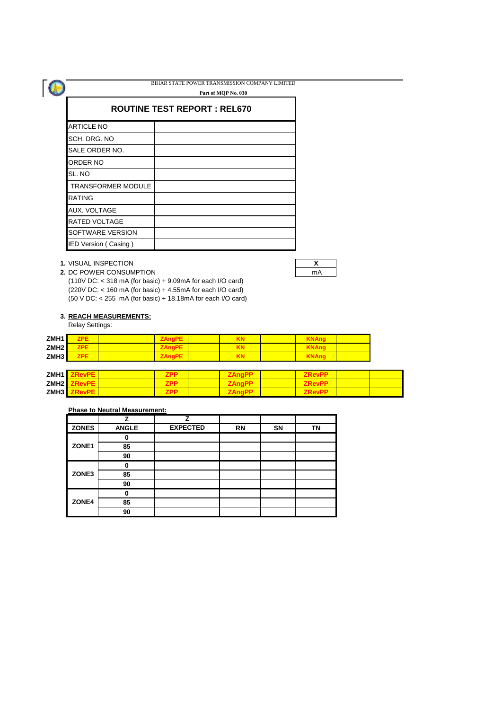|                                    | BIHAR STATE POWER TRANSMISSION COMPANY LIMITED<br>Part of MQP No. 030 |  |  |  |  |
|------------------------------------|-----------------------------------------------------------------------|--|--|--|--|
| <b>ROUTINE TEST REPORT: REL670</b> |                                                                       |  |  |  |  |
| <b>ARTICLE NO</b>                  |                                                                       |  |  |  |  |
| SCH. DRG. NO                       |                                                                       |  |  |  |  |
| SALE ORDER NO.                     |                                                                       |  |  |  |  |
| ORDER NO                           |                                                                       |  |  |  |  |
| SL. NO                             |                                                                       |  |  |  |  |
| <b>TRANSFORMER MODULE</b>          |                                                                       |  |  |  |  |
| RATING                             |                                                                       |  |  |  |  |
| AUX. VOLTAGE                       |                                                                       |  |  |  |  |
| RATED VOLTAGE                      |                                                                       |  |  |  |  |
| SOFTWARE VERSION                   |                                                                       |  |  |  |  |
| IED Version (Casing)               |                                                                       |  |  |  |  |

 $\bigcirc$ 

**1.** VISUAL INSPECTION<br> **2.** DC POWER CONSUMPTION **2. DC POWER CONSUMPTION** (110V DC: < 318 mA (for basic) + 9.09mA for each I/O card) (220V DC: < 160 mA (for basic) + 4.55mA for each I/O card) (50 V DC: < 255 mA (for basic) + 18.18mA for each I/O card)

### **3. REACH MEASUREMENTS:**

Relay Settings:

| ZMH <sub>1</sub> | 70 <sub>0</sub> | ۹N |  |
|------------------|-----------------|----|--|
| ZMH <sub>2</sub> |                 | ٦N |  |
| ZMH <sub>3</sub> |                 | ٢N |  |

| ZMH <sub>1</sub> |  | u |  |
|------------------|--|---|--|
| ZMH <sub>2</sub> |  |   |  |
| ZMH <sub>3</sub> |  |   |  |

### **Phase to Neutral Measurement:**

|              | z            |                 |    |           |    |
|--------------|--------------|-----------------|----|-----------|----|
| <b>ZONES</b> | <b>ANGLE</b> | <b>EXPECTED</b> | RN | <b>SN</b> | ΤN |
|              | 0            |                 |    |           |    |
| ZONE1        | 85           |                 |    |           |    |
|              | 90           |                 |    |           |    |
|              | 0            |                 |    |           |    |
| ZONE3        | 85           |                 |    |           |    |
|              | 90           |                 |    |           |    |
|              | 0            |                 |    |           |    |
| ZONE4        | 85           |                 |    |           |    |
|              | 90           |                 |    |           |    |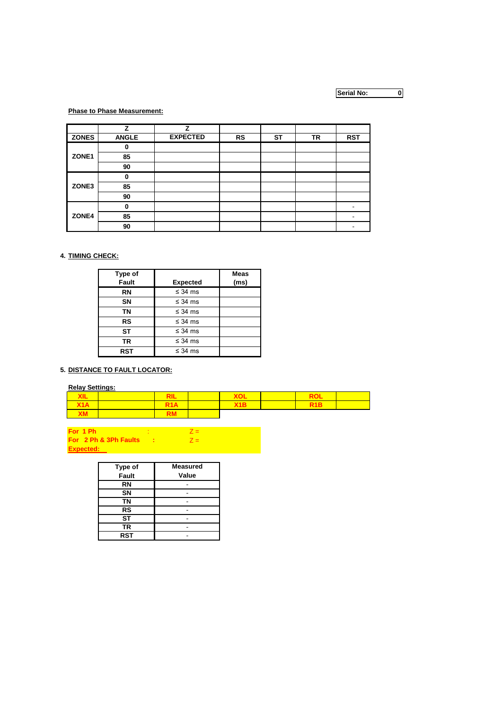### **Serial No: 0**

#### **Phase to Phase Measurement:**

|              | z            | z               |           |           |    |                          |
|--------------|--------------|-----------------|-----------|-----------|----|--------------------------|
| <b>ZONES</b> | <b>ANGLE</b> | <b>EXPECTED</b> | <b>RS</b> | <b>ST</b> | TR | <b>RST</b>               |
|              | 0            |                 |           |           |    |                          |
| ZONE1        | 85           |                 |           |           |    |                          |
|              | 90           |                 |           |           |    |                          |
|              | 0            |                 |           |           |    |                          |
| ZONE3        | 85           |                 |           |           |    |                          |
|              | 90           |                 |           |           |    |                          |
|              | $\mathbf 0$  |                 |           |           |    | ٠                        |
| ZONE4        | 85           |                 |           |           |    | $\overline{\phantom{a}}$ |
|              | 90           |                 |           |           |    | ٠                        |

### **4. TIMING CHECK:**

| Type of |                 | <b>Meas</b> |
|---------|-----------------|-------------|
| Fault   | <b>Expected</b> | (ms)        |
| RN      | $\leq$ 34 ms    |             |
| SN      | $\leq$ 34 ms    |             |
| ΤN      | $\leq$ 34 ms    |             |
| RS      | $\leq$ 34 ms    |             |
| ST      | $\leq$ 34 ms    |             |
| TR      | $\leq$ 34 ms    |             |
| RST     | $\leq$ 34 ms    |             |

### **5. DISTANCE TO FAULT LOCATOR:**

**Relay Settings:**

| <b>NEW YOR</b> |     | <b>XOL</b> |     |  |
|----------------|-----|------------|-----|--|
| <u>l X1A l</u> | R1A | X1B        | R1B |  |
| <b>NX</b>      |     |            |     |  |

 $Z =$  $Z =$ **Expected: For 1 Ph** : **For 2 Ph & 3Ph Faults :**

| Type of<br>Fault | <b>Measured</b><br>Value |
|------------------|--------------------------|
| <b>RN</b>        |                          |
| SN               |                          |
| ΤN               |                          |
| <b>RS</b>        |                          |
| <b>ST</b>        |                          |
| TR               |                          |
| <b>RST</b>       |                          |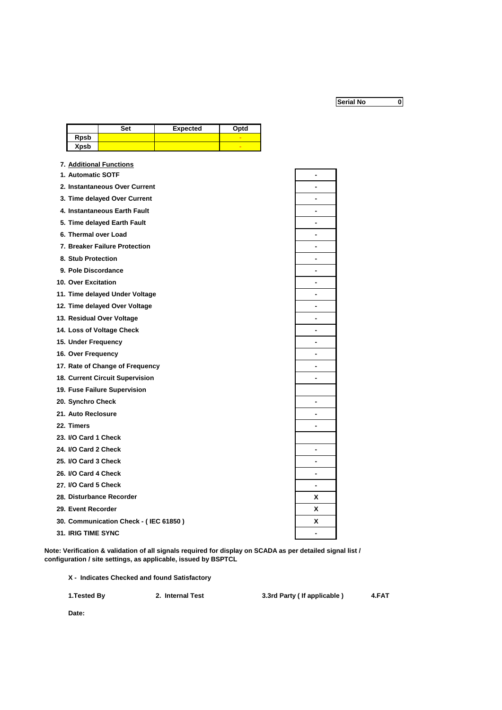**Serial No 0**

|                            | Set                                   | <b>Expected</b> | Optd |  |
|----------------------------|---------------------------------------|-----------------|------|--|
| <b>Rpsb</b>                |                                       |                 |      |  |
| Xpsb                       |                                       |                 |      |  |
|                            | 7. Additional Functions               |                 |      |  |
| 1. Automatic SOTF          |                                       |                 |      |  |
|                            | 2. Instantaneous Over Current         |                 |      |  |
|                            | 3. Time delayed Over Current          |                 |      |  |
|                            | 4. Instantaneous Earth Fault          |                 |      |  |
|                            | 5. Time delayed Earth Fault           |                 |      |  |
| 6. Thermal over Load       |                                       |                 |      |  |
|                            | 7. Breaker Failure Protection         |                 |      |  |
| 8. Stub Protection         |                                       |                 |      |  |
| 9. Pole Discordance        |                                       |                 |      |  |
| <b>10. Over Excitation</b> |                                       |                 |      |  |
|                            | 11. Time delayed Under Voltage        |                 |      |  |
|                            | 12. Time delayed Over Voltage         |                 |      |  |
|                            | 13. Residual Over Voltage             |                 |      |  |
|                            | 14. Loss of Voltage Check             |                 |      |  |
| 15. Under Frequency        |                                       |                 |      |  |
| 16. Over Frequency         |                                       |                 |      |  |
|                            | 17. Rate of Change of Frequency       |                 |      |  |
|                            | 18. Current Circuit Supervision       |                 |      |  |
|                            | 19. Fuse Failure Supervision          |                 |      |  |
| 20. Synchro Check          |                                       |                 |      |  |
| 21. Auto Reclosure         |                                       |                 |      |  |
| 22. Timers                 |                                       |                 |      |  |
| 23. I/O Card 1 Check       |                                       |                 |      |  |
| 24. I/O Card 2 Check       |                                       |                 |      |  |
| 25. I/O Card 3 Check       |                                       |                 |      |  |
| 26. I/O Card 4 Check       |                                       |                 |      |  |
| 27. I/O Card 5 Check       |                                       |                 |      |  |
|                            | 28. Disturbance Recorder              |                 |      |  |
| 29. Event Recorder         |                                       |                 |      |  |
|                            | 30. Communication Check - (IEC 61850) |                 |      |  |
| 31. IRIG TIME SYNC         |                                       |                 |      |  |

**Note: Verification & validation of all signals required for display on SCADA as per detailed signal list / configuration / site settings, as applicable, issued by BSPTCL**

**X - Indicates Checked and found Satisfactory**

**1.Tested By 2. Internal Test 3.3rd Party ( If applicable ) 4.FAT**

**Date:**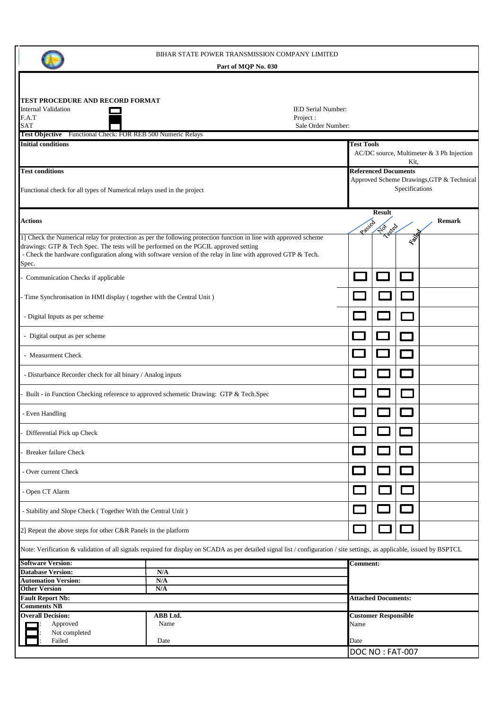|                                                                                |                                                                                       | BIHAR STATE POWER TRANSMISSION COMPANY LIMITED<br>Part of MQP No. 030                                                                                                                                                              |                                          |                                                    |                              |                                           |
|--------------------------------------------------------------------------------|---------------------------------------------------------------------------------------|------------------------------------------------------------------------------------------------------------------------------------------------------------------------------------------------------------------------------------|------------------------------------------|----------------------------------------------------|------------------------------|-------------------------------------------|
|                                                                                |                                                                                       |                                                                                                                                                                                                                                    |                                          |                                                    |                              |                                           |
| TEST PROCEDURE AND RECORD FORMAT<br><b>Internal Validation</b><br>F.A.T<br>SAT |                                                                                       | Project:                                                                                                                                                                                                                           | IED Serial Number:<br>Sale Order Number: |                                                    |                              |                                           |
|                                                                                | Test Objective Functional Check: FOR REB 500 Numeric Relays                           |                                                                                                                                                                                                                                    |                                          |                                                    |                              |                                           |
| <b>Initial conditions</b>                                                      |                                                                                       |                                                                                                                                                                                                                                    | <b>Test Tools</b>                        |                                                    | Kit,                         | AC/DC source, Multimeter & 3 Ph Injection |
| <b>Test conditions</b>                                                         |                                                                                       |                                                                                                                                                                                                                                    |                                          | <b>Referenced Documents</b>                        |                              | Approved Scheme Drawings, GTP & Technical |
|                                                                                | Functional check for all types of Numerical relays used in the project                |                                                                                                                                                                                                                                    |                                          |                                                    | Specifications               |                                           |
| Actions                                                                        |                                                                                       |                                                                                                                                                                                                                                    | Passed                                   | <b>Result</b><br>$\hat{\mathcal{L}}_{\mathcal{P}}$ |                              | <b>Remark</b>                             |
| Spec.                                                                          | drawings: GTP & Tech Spec. The tests will be performed on the PGCIL approved setting  | 1] Check the Numerical relay for protection as per the following protection function in line with approved scheme<br>- Check the hardware configuration along with software version of the relay in line with approved GTP & Tech. |                                          | Tested                                             | $\mathcal{L}^{\mathbb{R}^N}$ |                                           |
| Communication Checks if applicable                                             |                                                                                       |                                                                                                                                                                                                                                    |                                          |                                                    |                              |                                           |
|                                                                                | Time Synchronisation in HMI display (together with the Central Unit)                  |                                                                                                                                                                                                                                    |                                          |                                                    |                              |                                           |
| - Digital Inputs as per scheme                                                 |                                                                                       |                                                                                                                                                                                                                                    |                                          |                                                    |                              |                                           |
| - Digital output as per scheme                                                 |                                                                                       |                                                                                                                                                                                                                                    |                                          |                                                    |                              |                                           |
| - Measurment Check                                                             |                                                                                       |                                                                                                                                                                                                                                    |                                          |                                                    |                              |                                           |
| - Disturbance Recorder check for all binary / Analog inputs                    |                                                                                       |                                                                                                                                                                                                                                    |                                          |                                                    |                              |                                           |
|                                                                                | Built - in Function Checking reference to approved schemetic Drawing: GTP & Tech.Spec |                                                                                                                                                                                                                                    |                                          |                                                    |                              |                                           |
| - Even Handling                                                                |                                                                                       |                                                                                                                                                                                                                                    |                                          |                                                    |                              |                                           |
| Differential Pick up Check                                                     |                                                                                       |                                                                                                                                                                                                                                    |                                          |                                                    |                              |                                           |
| Breaker failure Check                                                          |                                                                                       |                                                                                                                                                                                                                                    |                                          |                                                    |                              |                                           |
| Over current Check                                                             |                                                                                       |                                                                                                                                                                                                                                    |                                          |                                                    |                              |                                           |
| - Open CT Alarm                                                                |                                                                                       |                                                                                                                                                                                                                                    |                                          |                                                    |                              |                                           |
|                                                                                | - Stability and Slope Check (Together With the Central Unit)                          |                                                                                                                                                                                                                                    |                                          |                                                    |                              |                                           |
|                                                                                | 2] Repeat the above steps for other C&R Panels in the platform                        |                                                                                                                                                                                                                                    |                                          |                                                    |                              |                                           |
|                                                                                |                                                                                       | Note: Verification & validation of all signals required for display on SCADA as per detailed signal list / configuration / site settings, as applicable, issued by BSPTCL                                                          |                                          |                                                    |                              |                                           |
| <b>Software Version:</b><br><b>Database Version:</b>                           | N/A                                                                                   |                                                                                                                                                                                                                                    | <b>Comment:</b>                          |                                                    |                              |                                           |
| <b>Automation Version:</b>                                                     | N/A                                                                                   |                                                                                                                                                                                                                                    |                                          |                                                    |                              |                                           |
| <b>Other Version</b>                                                           | N/A                                                                                   |                                                                                                                                                                                                                                    |                                          |                                                    |                              |                                           |
| <b>Fault Report Nb:</b><br><b>Comments NB</b>                                  |                                                                                       |                                                                                                                                                                                                                                    |                                          | <b>Attached Documents:</b>                         |                              |                                           |
| <b>Overall Decision:</b><br>Approved                                           | ABB Ltd.<br>Name                                                                      |                                                                                                                                                                                                                                    | Name                                     | <b>Customer Responsible</b>                        |                              |                                           |
| Not completed<br>Failed                                                        | Date                                                                                  |                                                                                                                                                                                                                                    | Date                                     | DOC NO: FAT-007                                    |                              |                                           |
|                                                                                |                                                                                       |                                                                                                                                                                                                                                    |                                          |                                                    |                              |                                           |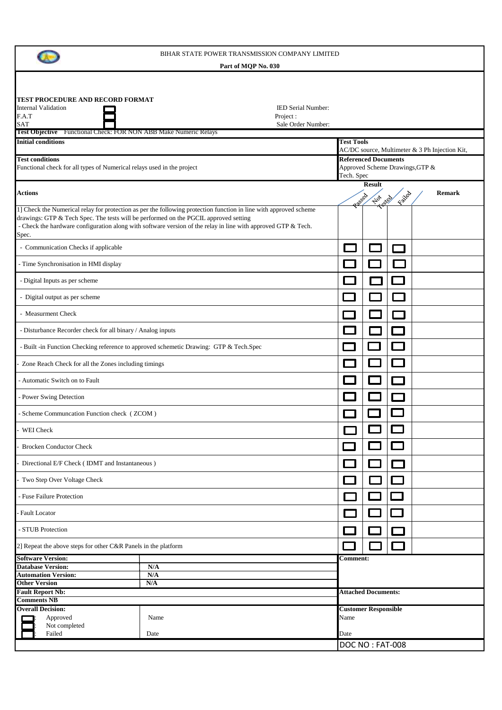|                                                                                               | BIHAR STATE POWER TRANSMISSION COMPANY LIMITED<br>Part of MQP No. 030                                                                                                                                                              |                   |                                          |        |                                                |
|-----------------------------------------------------------------------------------------------|------------------------------------------------------------------------------------------------------------------------------------------------------------------------------------------------------------------------------------|-------------------|------------------------------------------|--------|------------------------------------------------|
| TEST PROCEDURE AND RECORD FORMAT<br><b>Internal Validation</b><br>F.A.T<br><b>SAT</b>         | IED Serial Number:<br>Project:<br>Sale Order Number:                                                                                                                                                                               |                   |                                          |        |                                                |
| Test Objective Functional Check: FOR NON ABB Make Numeric Relays<br><b>Initial conditions</b> |                                                                                                                                                                                                                                    | <b>Test Tools</b> |                                          |        |                                                |
| <b>Test conditions</b>                                                                        |                                                                                                                                                                                                                                    |                   | <b>Referenced Documents</b>              |        | AC/DC source, Multimeter & 3 Ph Injection Kit, |
| Functional check for all types of Numerical relays used in the project                        |                                                                                                                                                                                                                                    | Tech. Spec        | Approved Scheme Drawings, GTP &          |        |                                                |
| <b>Actions</b>                                                                                |                                                                                                                                                                                                                                    | Passa             | <b>Result</b><br>$\Rightarrow$<br>Fested | Faired | <b>Remark</b>                                  |
| drawings: GTP & Tech Spec. The tests will be performed on the PGCIL approved setting<br>Spec. | 1] Check the Numerical relay for protection as per the following protection function in line with approved scheme<br>- Check the hardware configuration along with software version of the relay in line with approved GTP & Tech. |                   |                                          |        |                                                |
| - Communication Checks if applicable                                                          |                                                                                                                                                                                                                                    |                   |                                          |        |                                                |
| - Time Synchronisation in HMI display                                                         |                                                                                                                                                                                                                                    |                   |                                          |        |                                                |
| - Digital Inputs as per scheme                                                                |                                                                                                                                                                                                                                    |                   |                                          |        |                                                |
| - Digital output as per scheme                                                                |                                                                                                                                                                                                                                    |                   |                                          |        |                                                |
| - Measurment Check                                                                            |                                                                                                                                                                                                                                    |                   |                                          |        |                                                |
| - Disturbance Recorder check for all binary / Analog inputs                                   |                                                                                                                                                                                                                                    |                   |                                          |        |                                                |
|                                                                                               | - Built -in Function Checking reference to approved schemetic Drawing: GTP & Tech.Spec                                                                                                                                             |                   |                                          |        |                                                |
| Zone Reach Check for all the Zones including timings                                          |                                                                                                                                                                                                                                    |                   |                                          | $\sim$ |                                                |
| Automatic Switch on to Fault                                                                  |                                                                                                                                                                                                                                    |                   |                                          |        |                                                |
| Power Swing Detection                                                                         |                                                                                                                                                                                                                                    |                   |                                          |        |                                                |
| Scheme Communcation Function check (ZCOM)                                                     |                                                                                                                                                                                                                                    |                   |                                          |        |                                                |
| WEI Check                                                                                     |                                                                                                                                                                                                                                    |                   |                                          |        |                                                |
| <b>Brocken Conductor Check</b>                                                                |                                                                                                                                                                                                                                    |                   |                                          |        |                                                |
| Directional E/F Check (IDMT and Instantaneous)                                                |                                                                                                                                                                                                                                    |                   |                                          | $\sim$ |                                                |
| Two Step Over Voltage Check                                                                   |                                                                                                                                                                                                                                    |                   |                                          |        |                                                |
| Fuse Failure Protection                                                                       |                                                                                                                                                                                                                                    |                   |                                          |        |                                                |
| <b>Fault Locator</b>                                                                          |                                                                                                                                                                                                                                    |                   |                                          |        |                                                |
| - STUB Protection                                                                             |                                                                                                                                                                                                                                    |                   |                                          |        |                                                |
| 2] Repeat the above steps for other C&R Panels in the platform                                |                                                                                                                                                                                                                                    |                   |                                          |        |                                                |
| <b>Software Version:</b>                                                                      |                                                                                                                                                                                                                                    | <b>Comment:</b>   |                                          |        |                                                |
| <b>Database Version:</b>                                                                      | N/A                                                                                                                                                                                                                                |                   |                                          |        |                                                |
| <b>Automation Version:</b><br><b>Other Version</b>                                            | N/A<br>N/A                                                                                                                                                                                                                         |                   |                                          |        |                                                |
| <b>Fault Report Nb:</b>                                                                       |                                                                                                                                                                                                                                    |                   | <b>Attached Documents:</b>               |        |                                                |
| <b>Comments NB</b>                                                                            |                                                                                                                                                                                                                                    |                   |                                          |        |                                                |
| <b>Overall Decision:</b>                                                                      |                                                                                                                                                                                                                                    |                   | <b>Customer Responsible</b>              |        |                                                |
| Approved<br>Not completed                                                                     | Name                                                                                                                                                                                                                               | Name              |                                          |        |                                                |
| Failed                                                                                        | Date                                                                                                                                                                                                                               | Date              |                                          |        |                                                |
|                                                                                               |                                                                                                                                                                                                                                    |                   | DOC NO: FAT-008                          |        |                                                |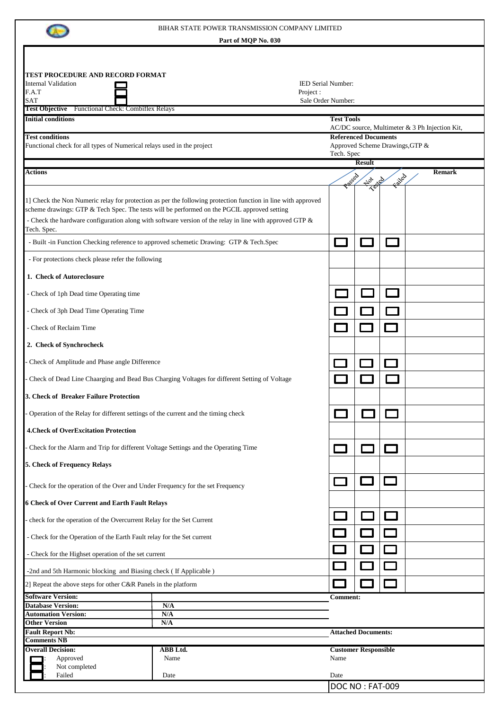

 $\blacksquare$ 

### BIHAR STATE POWER TRANSMISSION COMPANY LIMITED

**Part of MQP No. 030**

| TEST PROCEDURE AND RECORD FORMAT<br><b>Internal Validation</b>                       |                                                                                                                                                                                                             |                    |                                              |        |                                                |
|--------------------------------------------------------------------------------------|-------------------------------------------------------------------------------------------------------------------------------------------------------------------------------------------------------------|--------------------|----------------------------------------------|--------|------------------------------------------------|
| F.A.T                                                                                | IED Serial Number:<br>Project :                                                                                                                                                                             |                    |                                              |        |                                                |
| <b>SAT</b><br>Test Objective Functional Check: Combiflex Relays                      |                                                                                                                                                                                                             | Sale Order Number: |                                              |        |                                                |
| <b>Initial conditions</b>                                                            |                                                                                                                                                                                                             | <b>Test Tools</b>  |                                              |        |                                                |
| <b>Test conditions</b>                                                               |                                                                                                                                                                                                             |                    | <b>Referenced Documents</b>                  |        | AC/DC source, Multimeter & 3 Ph Injection Kit, |
| Functional check for all types of Numerical relays used in the project               |                                                                                                                                                                                                             |                    |                                              |        | Approved Scheme Drawings, GTP &                |
|                                                                                      |                                                                                                                                                                                                             | Tech. Spec         | <b>Result</b>                                |        |                                                |
| <b>Actions</b>                                                                       |                                                                                                                                                                                                             |                    |                                              |        | <b>Remark</b>                                  |
|                                                                                      |                                                                                                                                                                                                             | Passa              | $\overrightarrow{\mathcal{R}}_{Q'}$<br>TROAD | Faired |                                                |
|                                                                                      | 1] Check the Non Numeric relay for protection as per the following protection function in line with approved<br>scheme drawings: GTP & Tech Spec. The tests will be performed on the PGCIL approved setting |                    |                                              |        |                                                |
| Tech. Spec.                                                                          | - Check the hardware configuration along with software version of the relay in line with approved GTP &                                                                                                     |                    |                                              |        |                                                |
|                                                                                      | - Built -in Function Checking reference to approved schemetic Drawing: GTP & Tech.Spec                                                                                                                      |                    |                                              |        |                                                |
| - For protections check please refer the following                                   |                                                                                                                                                                                                             |                    |                                              |        |                                                |
| 1. Check of Autoreclosure                                                            |                                                                                                                                                                                                             |                    |                                              |        |                                                |
| - Check of 1ph Dead time Operating time                                              |                                                                                                                                                                                                             |                    |                                              |        |                                                |
| - Check of 3ph Dead Time Operating Time                                              |                                                                                                                                                                                                             |                    |                                              |        |                                                |
| - Check of Reclaim Time                                                              |                                                                                                                                                                                                             |                    |                                              |        |                                                |
| 2. Check of Synchrocheck                                                             |                                                                                                                                                                                                             |                    |                                              |        |                                                |
| Check of Amplitude and Phase angle Difference                                        |                                                                                                                                                                                                             |                    |                                              |        |                                                |
|                                                                                      | Check of Dead Line Chaarging and Bead Bus Charging Voltages for different Setting of Voltage                                                                                                                |                    |                                              |        |                                                |
| 3. Check of Breaker Failure Protection                                               |                                                                                                                                                                                                             |                    |                                              |        |                                                |
| Operation of the Relay for different settings of the current and the timing check    |                                                                                                                                                                                                             |                    |                                              |        |                                                |
| 4. Check of OverExcitation Protection                                                |                                                                                                                                                                                                             |                    |                                              |        |                                                |
| - Check for the Alarm and Trip for different Voltage Settings and the Operating Time |                                                                                                                                                                                                             |                    |                                              |        |                                                |
| 5. Check of Frequency Relays                                                         |                                                                                                                                                                                                             |                    |                                              |        |                                                |
| Check for the operation of the Over and Under Frequency for the set Frequency        |                                                                                                                                                                                                             |                    |                                              |        |                                                |
| <b>6 Check of Over Current and Earth Fault Relays</b>                                |                                                                                                                                                                                                             |                    |                                              |        |                                                |
| check for the operation of the Overcurrent Relay for the Set Current                 |                                                                                                                                                                                                             |                    |                                              |        |                                                |
| - Check for the Operation of the Earth Fault relay for the Set current               |                                                                                                                                                                                                             |                    |                                              |        |                                                |
| - Check for the Highset operation of the set current                                 |                                                                                                                                                                                                             |                    |                                              |        |                                                |
| -2nd and 5th Harmonic blocking and Biasing check (If Applicable)                     |                                                                                                                                                                                                             |                    |                                              |        |                                                |
| 2] Repeat the above steps for other C&R Panels in the platform                       |                                                                                                                                                                                                             |                    |                                              |        |                                                |
| <b>Software Version:</b><br><b>Database Version:</b>                                 | N/A                                                                                                                                                                                                         | <b>Comment:</b>    |                                              |        |                                                |
| <b>Automation Version:</b>                                                           | N/A                                                                                                                                                                                                         |                    |                                              |        |                                                |
| <b>Other Version</b>                                                                 | N/A                                                                                                                                                                                                         |                    |                                              |        |                                                |
| <b>Fault Report Nb:</b>                                                              |                                                                                                                                                                                                             |                    | <b>Attached Documents:</b>                   |        |                                                |
| <b>Comments NB</b><br><b>Overall Decision:</b>                                       | ABB Ltd.                                                                                                                                                                                                    |                    |                                              |        |                                                |
| Approved                                                                             | Name                                                                                                                                                                                                        | Name               | <b>Customer Responsible</b>                  |        |                                                |
| Not completed<br>Failed                                                              | Date                                                                                                                                                                                                        | Date               |                                              |        |                                                |
|                                                                                      |                                                                                                                                                                                                             |                    | DOC NO: FAT-009                              |        |                                                |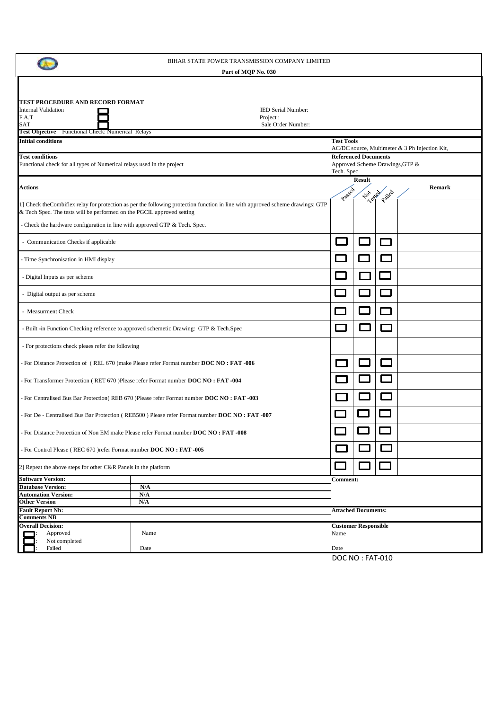|                                                                                                  | BIHAR STATE POWER TRANSMISSION COMPANY LIMITED<br>Part of MQP No. 030                                                           |                   |                                                                                                |    |                                                |  |
|--------------------------------------------------------------------------------------------------|---------------------------------------------------------------------------------------------------------------------------------|-------------------|------------------------------------------------------------------------------------------------|----|------------------------------------------------|--|
|                                                                                                  |                                                                                                                                 |                   |                                                                                                |    |                                                |  |
| TEST PROCEDURE AND RECORD FORMAT<br><b>Internal Validation</b><br>F.A.T<br>SAT                   | IED Serial Number:<br>Project:<br>Sale Order Number:                                                                            |                   |                                                                                                |    |                                                |  |
| Test Objective Functional Check: Numerical Relays                                                |                                                                                                                                 |                   |                                                                                                |    |                                                |  |
| <b>Initial conditions</b>                                                                        |                                                                                                                                 | <b>Test Tools</b> |                                                                                                |    | AC/DC source, Multimeter & 3 Ph Injection Kit, |  |
| <b>Test conditions</b><br>Functional check for all types of Numerical relays used in the project |                                                                                                                                 |                   | <b>Referenced Documents</b><br>Approved Scheme Drawings, GTP &<br>Tech. Spec                   |    |                                                |  |
| Actions                                                                                          |                                                                                                                                 |                   | <b>Result</b><br><b>Remark</b><br>PRESID<br>Fallod<br>$\mathcal{L}_{\mathcal{O}}$<br><b>RY</b> |    |                                                |  |
| & Tech Spec. The tests will be performed on the PGCIL approved setting                           | 1] Check the Combiflex relay for protection as per the following protection function in line with approved scheme drawings: GTP |                   |                                                                                                |    |                                                |  |
| Check the hardware configuration in line with approved GTP & Tech. Spec.                         |                                                                                                                                 |                   |                                                                                                |    |                                                |  |
| - Communication Checks if applicable                                                             |                                                                                                                                 |                   |                                                                                                |    |                                                |  |
| - Time Synchronisation in HMI display                                                            |                                                                                                                                 |                   |                                                                                                |    |                                                |  |
| - Digital Inputs as per scheme                                                                   |                                                                                                                                 |                   |                                                                                                |    |                                                |  |
| - Digital output as per scheme                                                                   |                                                                                                                                 |                   |                                                                                                |    |                                                |  |
| - Measurment Check                                                                               |                                                                                                                                 |                   |                                                                                                |    |                                                |  |
|                                                                                                  | - Built -in Function Checking reference to approved schemetic Drawing: GTP & Tech.Spec                                          |                   |                                                                                                |    |                                                |  |
| - For protections check pleaes refer the following                                               |                                                                                                                                 |                   |                                                                                                |    |                                                |  |
|                                                                                                  | - For Distance Protection of (REL 670) make Please refer Format number DOC NO: FAT -006                                         |                   |                                                                                                | ┌─ |                                                |  |
|                                                                                                  | - For Transformer Protection (RET 670) Please refer Format number DOC NO: FAT -004                                              |                   |                                                                                                |    |                                                |  |
|                                                                                                  | - For Centralised Bus Bar Protection(REB 670) Please refer Format number DOC NO: FAT -003                                       |                   |                                                                                                |    |                                                |  |
|                                                                                                  | - For De - Centralised Bus Bar Protection (REB500) Please refer Format number DOC NO: FAT -007                                  |                   |                                                                                                |    |                                                |  |
|                                                                                                  | - For Distance Protection of Non EM make Please refer Format number DOC NO: FAT -008                                            |                   | $\Box$                                                                                         |    |                                                |  |
| - For Control Please (REC 670 ) refer Format number DOC NO: FAT -005                             |                                                                                                                                 |                   |                                                                                                |    |                                                |  |
| 2] Repeat the above steps for other C&R Panels in the platform                                   |                                                                                                                                 | - 1               |                                                                                                |    |                                                |  |
| <b>Software Version:</b><br><b>Database Version:</b>                                             | N/A                                                                                                                             | <b>Comment:</b>   |                                                                                                |    |                                                |  |
| <b>Automation Version:</b>                                                                       | N/A                                                                                                                             |                   |                                                                                                |    |                                                |  |
| <b>Other Version</b>                                                                             | N/A                                                                                                                             |                   |                                                                                                |    |                                                |  |
| <b>Fault Report Nb:</b><br><b>Comments NB</b>                                                    |                                                                                                                                 |                   | <b>Attached Documents:</b>                                                                     |    |                                                |  |
| <b>Overall Decision:</b><br>Approved<br>Not completed                                            | Name                                                                                                                            | Name              | <b>Customer Responsible</b>                                                                    |    |                                                |  |
| Failed                                                                                           | Date                                                                                                                            | Date              | $DOC NLO$ , $FAT O10$                                                                          |    |                                                |  |

DOC NO : FAT-010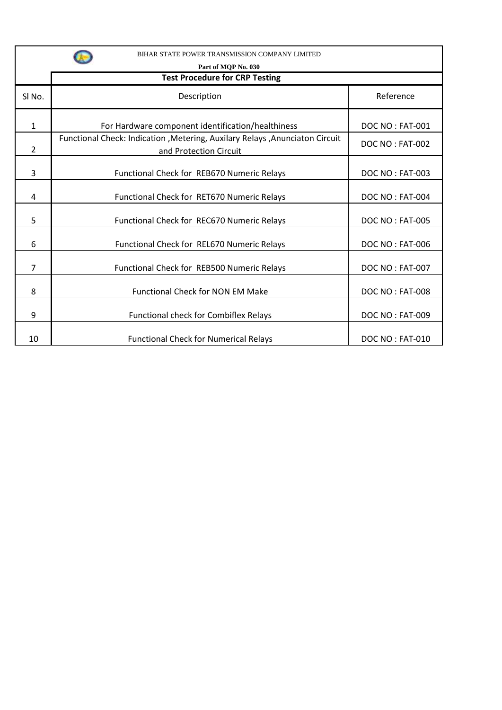| BIHAR STATE POWER TRANSMISSION COMPANY LIMITED<br>Part of MQP No. 030<br><b>Test Procedure for CRP Testing</b> |                                                                                                         |                 |  |  |
|----------------------------------------------------------------------------------------------------------------|---------------------------------------------------------------------------------------------------------|-----------------|--|--|
|                                                                                                                |                                                                                                         |                 |  |  |
| $\mathbf{1}$                                                                                                   | For Hardware component identification/healthiness                                                       | DOC NO: FAT-001 |  |  |
| $\overline{2}$                                                                                                 | Functional Check: Indication , Metering, Auxilary Relays , Anunciaton Circuit<br>and Protection Circuit | DOC NO: FAT-002 |  |  |
| 3                                                                                                              | Functional Check for REB670 Numeric Relays                                                              | DOC NO: FAT-003 |  |  |
| 4                                                                                                              | Functional Check for RET670 Numeric Relays                                                              | DOC NO: FAT-004 |  |  |
| 5                                                                                                              | Functional Check for REC670 Numeric Relays                                                              | DOC NO: FAT-005 |  |  |
| 6                                                                                                              | Functional Check for REL670 Numeric Relays                                                              | DOC NO: FAT-006 |  |  |
| 7                                                                                                              | Functional Check for REB500 Numeric Relays                                                              | DOC NO: FAT-007 |  |  |
| 8                                                                                                              | <b>Functional Check for NON EM Make</b>                                                                 | DOC NO: FAT-008 |  |  |
| 9                                                                                                              | Functional check for Combiflex Relays                                                                   | DOC NO: FAT-009 |  |  |
| 10                                                                                                             | <b>Functional Check for Numerical Relays</b>                                                            | DOC NO: FAT-010 |  |  |